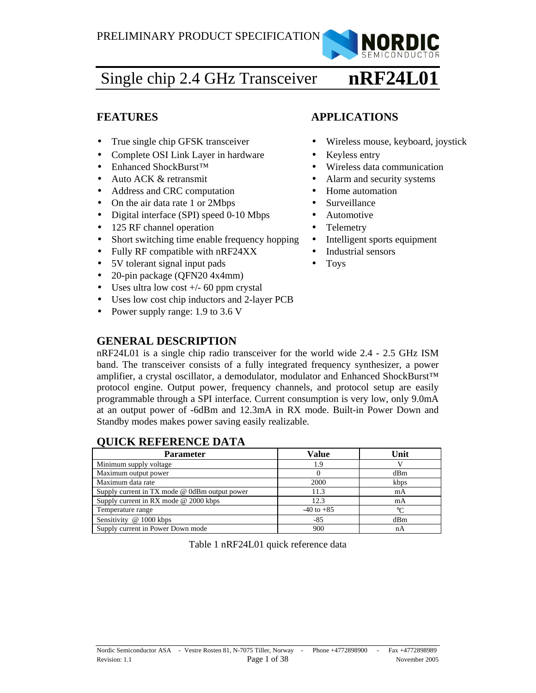

#### Single chip 2.4 GHz Transceiver **nRF24L01**

- 
- Complete OSI Link Layer in hardware Keyless entry
- 
- 
- Address and CRC computation Home automation
- On the air data rate 1 or 2Mbps Surveillance
- Digital interface (SPI) speed 0-10 Mbps Automotive
- 125 RF channel operation Telemetry
- Short switching time enable frequency hopping Intelligent sports equipment
- Fully RF compatible with nRF24XX Industrial sensors
- 5V tolerant signal input pads Toys
- 20-pin package (QFN20 4x4mm)
- Uses ultra low cost  $+/-$  60 ppm crystal
- Uses low cost chip inductors and 2-layer PCB
- Power supply range: 1.9 to 3.6 V

# **GENERAL DESCRIPTION**

nRF24L01 is a single chip radio transceiver for the world wide 2.4 - 2.5 GHz ISM band. The transceiver consists of a fully integrated frequency synthesizer, a power amplifier, a crystal oscillator, a demodulator, modulator and Enhanced ShockBurst™ protocol engine. Output power, frequency channels, and protocol setup are easily programmable through a SPI interface. Current consumption is very low, only 9.0mA at an output power of -6dBm and 12.3mA in RX mode. Built-in Power Down and Standby modes makes power saving easily realizable.

### **QUICK REFERENCE DATA**

| <b>Parameter</b>                              | Value          | Unit |
|-----------------------------------------------|----------------|------|
| Minimum supply voltage                        | 1.9            |      |
| Maximum output power                          |                | dBm  |
| Maximum data rate                             | 2000           | kbps |
| Supply current in TX mode @ 0dBm output power | 11.3           | mA   |
| Supply current in RX mode $@$ 2000 kbps       | 12.3           | mA   |
| Temperature range                             | $-40$ to $+85$ | °C   |
| Sensitivity @ 1000 kbps                       | $-85$          | dBm  |
| Supply current in Power Down mode             | 900            | nA   |

Table 1 nRF24L01 quick reference data

# **FEATURES APPLICATIONS**

- True single chip GFSK transceiver Wireless mouse, keyboard, joystick
	-
- Enhanced ShockBurst<sup>™</sup> **•** Wireless data communication
- Auto ACK & retransmit Alarm and security systems
	-
	-
	-
	-
	-
	-
	-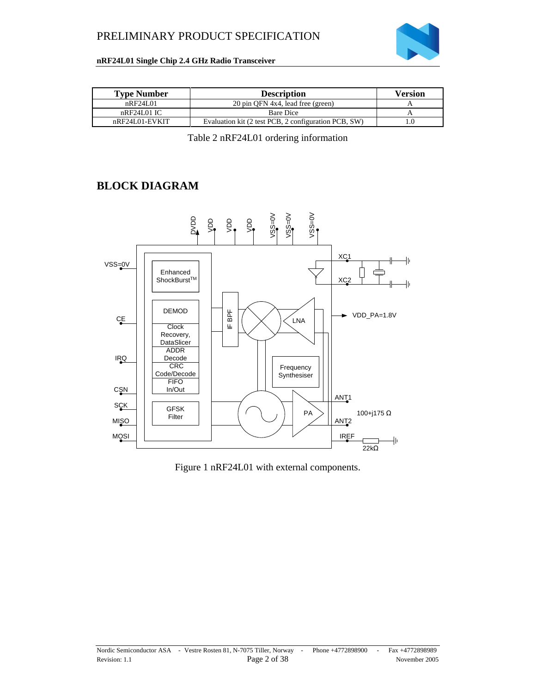

#### **nRF24L01 Single Chip 2.4 GHz Radio Transceiver**

| <b>Type Number</b> | <b>Description</b>                                   | <b>Version</b> |
|--------------------|------------------------------------------------------|----------------|
| nRF24L01           | 20 pin OFN 4x4, lead free (green)                    |                |
| nRF24L01IC         | <b>Bare Dice</b>                                     |                |
| $nRF24L01-EVKIT$   | Evaluation kit (2 test PCB, 2 configuration PCB, SW) |                |

Table 2 nRF24L01 ordering information

### **BLOCK DIAGRAM**



Figure 1 nRF24L01 with external components.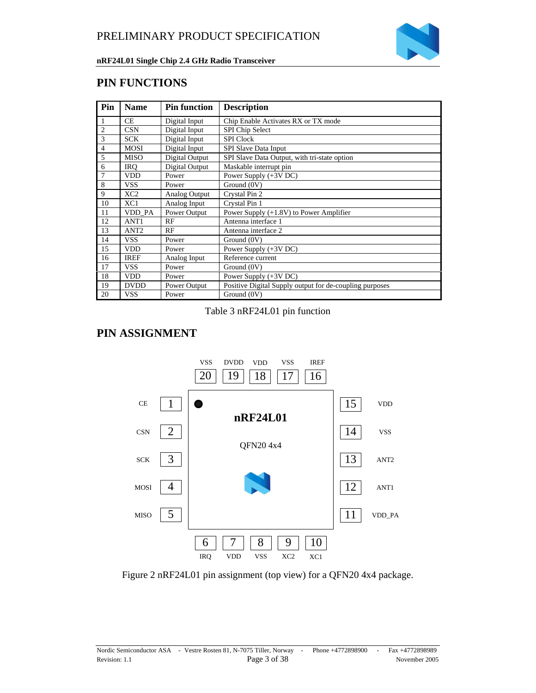

### **PIN FUNCTIONS**

| Pin            | <b>Name</b>      | <b>Pin function</b> | <b>Description</b>                                      |  |
|----------------|------------------|---------------------|---------------------------------------------------------|--|
| 1              | CE               | Digital Input       | Chip Enable Activates RX or TX mode                     |  |
| $\overline{2}$ | <b>CSN</b>       | Digital Input       | SPI Chip Select                                         |  |
| 3              | <b>SCK</b>       | Digital Input       | <b>SPI</b> Clock                                        |  |
| $\overline{4}$ | <b>MOSI</b>      | Digital Input       | SPI Slave Data Input                                    |  |
| 5              | <b>MISO</b>      | Digital Output      | SPI Slave Data Output, with tri-state option            |  |
| 6              | <b>IRO</b>       | Digital Output      | Maskable interrupt pin                                  |  |
| 7              | <b>VDD</b>       | Power               | Power Supply $(+3V)$ DC)                                |  |
| 8              | <b>VSS</b>       | Power               | $\overline{G}$ round (0V)                               |  |
| 9              | XC2              | Analog Output       | Crystal Pin 2                                           |  |
| 10             | XC1              | Analog Input        | Crystal Pin 1                                           |  |
| 11             | VDD PA           | Power Output        | Power Supply $(+1.8V)$ to Power Amplifier               |  |
| 12             | ANT <sub>1</sub> | RF                  | Antenna interface 1                                     |  |
| 13             | ANT <sub>2</sub> | RF                  | Antenna interface 2                                     |  |
| 14             | <b>VSS</b>       | Power               | Ground (0V)                                             |  |
| 15             | <b>VDD</b>       | Power               | Power Supply (+3V DC)                                   |  |
| 16             | <b>IREF</b>      | Analog Input        | Reference current                                       |  |
| 17             | <b>VSS</b>       | Power               | Ground (0V)                                             |  |
| 18             | <b>VDD</b>       | Power               | Power Supply $(+3V)$ DC)                                |  |
| 19             | <b>DVDD</b>      | Power Output        | Positive Digital Supply output for de-coupling purposes |  |
| 20             | <b>VSS</b>       | Power               | Ground (0V)                                             |  |

#### Table 3 nRF24L01 pin function

### **PIN ASSIGNMENT**



Figure 2 nRF24L01 pin assignment (top view) for a QFN20 4x4 package.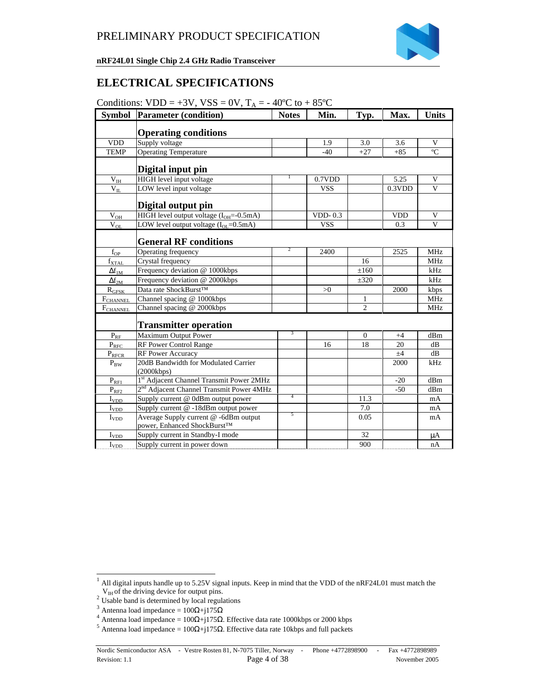

### **ELECTRICAL SPECIFICATIONS**

|  |  |  |  | Conditions: $VDD = +3V$ , $VSS = 0V$ , $T_A = -40^{\circ}\text{C}$ to $+85^{\circ}\text{C}$ |
|--|--|--|--|---------------------------------------------------------------------------------------------|
|--|--|--|--|---------------------------------------------------------------------------------------------|

| <b>Symbol</b>         | <b>Parameter (condition)</b>                                         | <b>Notes</b>   | Min.       | Typ.           | Max.       | <b>Units</b>   |
|-----------------------|----------------------------------------------------------------------|----------------|------------|----------------|------------|----------------|
|                       | <b>Operating conditions</b>                                          |                |            |                |            |                |
| <b>VDD</b>            | Supply voltage                                                       |                | 1.9        | 3.0            | 3.6        | V              |
| <b>TEMP</b>           | <b>Operating Temperature</b>                                         |                | $-40$      | $+27$          | $+85$      | $\overline{C}$ |
|                       |                                                                      |                |            |                |            |                |
|                       | Digital input pin                                                    |                |            |                |            |                |
| $\rm V_{IH}$          | HIGH level input voltage                                             | T              | 0.7VDD     |                | 5.25       | V              |
| $V_{IL}$              | LOW level input voltage                                              |                | <b>VSS</b> |                | 0.3VDD     | V              |
|                       | Digital output pin                                                   |                |            |                |            |                |
| $V_{$                 | HIGH level output voltage $(I_{OH}=-0.5mA)$                          |                | $VDD-0.3$  |                | <b>VDD</b> | V              |
| $\rm V_{OL}$          | LOW level output voltage $(I_{OL} = 0.5mA)$                          |                | <b>VSS</b> |                | 0.3        | $\mathbf{V}$   |
|                       | <b>General RF conditions</b>                                         |                |            |                |            |                |
| $f_{OP}$              | Operating frequency                                                  | 2              | 2400       |                | 2525       | <b>MHz</b>     |
| $f_{\text{XTAL}}$     | Crystal frequency                                                    |                |            | 16             |            | <b>MHz</b>     |
| $\Delta f_{1M}$       | Frequency deviation @ 1000kbps                                       |                |            | $\pm 160$      |            | kHz            |
| $\Delta f_{2M}$       | Frequency deviation @ 2000kbps                                       |                |            | $\pm 320$      |            | kHz            |
| $R_{GFSK}$            | Data rate ShockBurst™                                                |                | >0         |                | 2000       | kbps           |
| FCHANNEL              | Channel spacing @ 1000kbps                                           |                |            | 1              |            | <b>MHz</b>     |
| F <sub>CHANNEL</sub>  | Channel spacing @ 2000kbps                                           |                |            | $\overline{2}$ |            | <b>MHz</b>     |
|                       | <b>Transmitter operation</b>                                         |                |            |                |            |                |
| $P_{RF}$              | Maximum Output Power                                                 | 3              |            | $\Omega$       | $+4$       | dBm            |
| $P_{RFC}$             | <b>RF Power Control Range</b>                                        |                | 16         | 18             | 20         | dB             |
| $P_{RFCR}$            | RF Power Accuracy                                                    |                |            |                | ±4         | dB             |
| $P_{BW}$              | 20dB Bandwidth for Modulated Carrier                                 |                |            |                | 2000       | kHz            |
|                       | (2000kbps)                                                           |                |            |                |            |                |
| $P_{RE1}$             | 1st Adjacent Channel Transmit Power 2MHz                             |                |            |                | $-20$      | dBm            |
| $P_{\underline{RF2}}$ | 2 <sup>nd</sup> Adjacent Channel Transmit Power 4MHz                 | $\overline{4}$ |            |                | $-50$      | dBm            |
| $I_{VDD}$             | Supply current @ 0dBm output power                                   |                |            | 11.3           |            | mA             |
| $I_{YDD}$             | Supply current @ -18dBm output power                                 | 5              |            | 7.0            |            | mA             |
| $I_{VDD}$             | Average Supply current @ -6dBm output<br>power, Enhanced ShockBurst™ |                |            | 0.05           |            | mA             |
| $I_{VDD}$             | Supply current in Standby-I mode                                     |                |            | 32             |            | μA             |
| $I_{\rm VDD}$         | Supply current in power down                                         |                |            | 900            |            | nA             |

1

 $<sup>1</sup>$  All digital inputs handle up to 5.25V signal inputs. Keep in mind that the VDD of the nRF24L01 must match the</sup>  $V_{IH}$  of the driving device for output pins.

 $2^2$  Usable band is determined by local regulations

<sup>&</sup>lt;sup>3</sup> Antenna load impedance =  $100Ω+j175Ω$ 

<sup>&</sup>lt;sup>4</sup> Antenna load impedance =  $100\Omega + j175\Omega$ . Effective data rate 1000kbps or 2000 kbps

 $5$  Antenna load impedance = 100Ω+j175Ω. Effective data rate 10kbps and full packets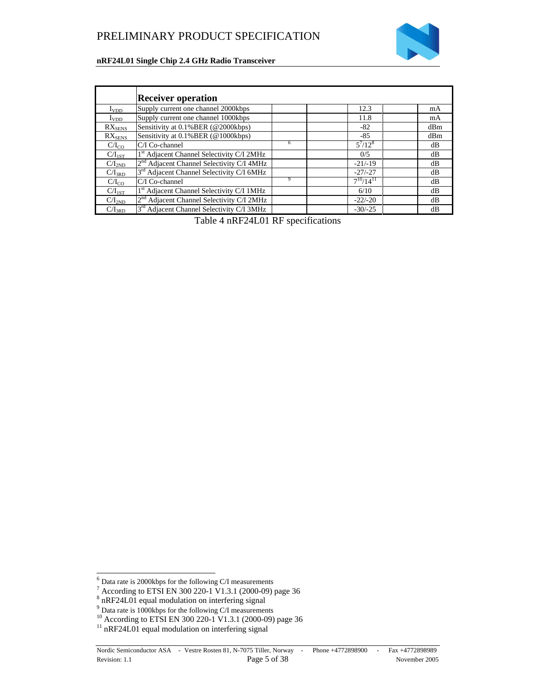

|                             | <b>Receiver operation</b>                             |   |                  |     |
|-----------------------------|-------------------------------------------------------|---|------------------|-----|
| $I_{VDD}$                   | Supply current one channel 2000kbps                   |   | 12.3             | mA  |
| $I_{VDD}$                   | Supply current one channel 1000kbps                   |   | 11.8             | mA  |
| $RX_{SENS}$                 | Sensitivity at 0.1% BER (@2000kbps)                   |   | $-82$            | dBm |
| $\mathrm{RX}_\mathrm{SENS}$ | Sensitivity at 0.1% BER (@1000kbps)                   |   | $-85$            | dBm |
| $C/I_{CO}$                  | C/I Co-channel                                        | 6 | $5^7/12^8$       | dB  |
| $C/I_{1ST}$                 | 1 <sup>st</sup> Adjacent Channel Selectivity C/I 2MHz |   | 0/5              | dB  |
| $C/I_{2ND}$                 | 2 <sup>nd</sup> Adjacent Channel Selectivity C/I 4MHz |   | $-21/-19$        | dB  |
| $C/I_{3RD}$                 | 3 <sup>rd</sup> Adjacent Channel Selectivity C/I 6MHz |   | $-27/ -27$       | dB  |
| $C/I_{CO}$                  | C/I Co-channel                                        | 9 | $7^{10}/14^{11}$ | dB  |
| $C/I_{1ST}$                 | 1 <sup>st</sup> Adjacent Channel Selectivity C/I 1MHz |   | 6/10             | dB  |
| C/I <sub>2ND</sub>          | 2 <sup>nd</sup> Adjacent Channel Selectivity C/I 2MHz |   | $-22/-20$        | dB  |
| $C/I_{3RD}$                 | 3 <sup>rd</sup> Adjacent Channel Selectivity C/I 3MHz |   | $-30/-25$        | dB  |

Table 4 nRF24L01 RF specifications

1

<sup>&</sup>lt;sup>6</sup> Data rate is 2000kbps for the following C/I measurements<br><sup>7</sup> According to ETSI EN 300 220-1 V1.3.1 (2000-09) page 36<br><sup>8</sup> nRF24L01 equal modulation on interfering signal

 $9^9$  Data rate is 1000kbps for the following C/I measurements

<sup>&</sup>lt;sup>10</sup> According to ETSI EN 300 220-1 V1.3.1 (2000-09) page 36

 $^{11}$  nRF24L01 equal modulation on interfering signal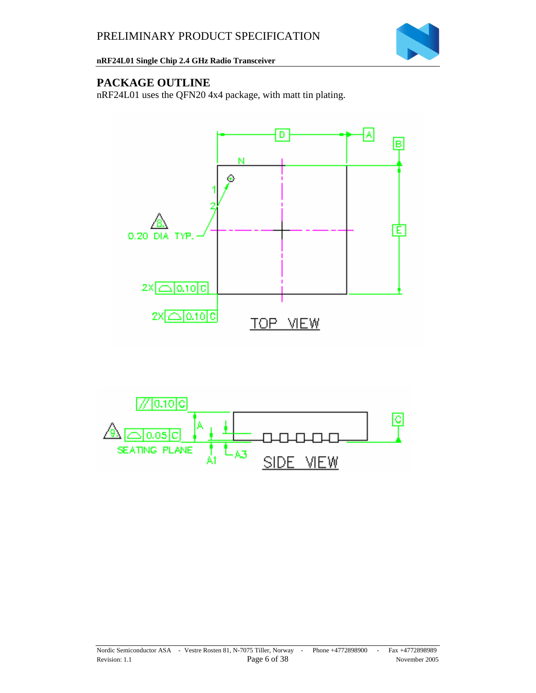

## **PACKAGE OUTLINE**

nRF24L01 uses the QFN20 4x4 package, with matt tin plating.



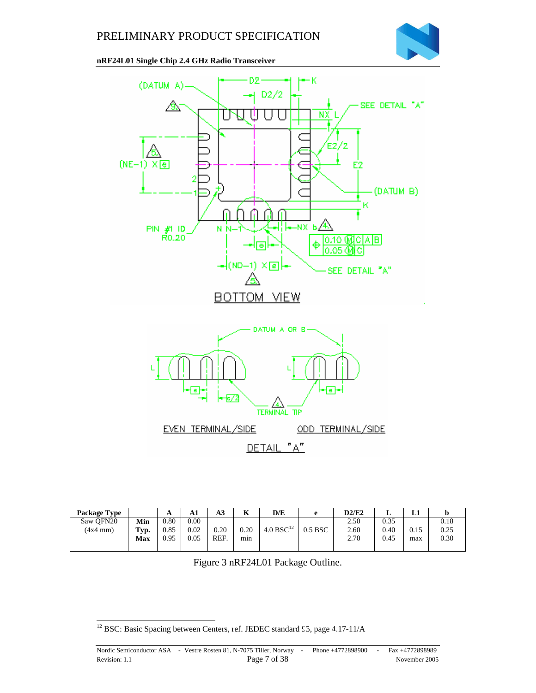



| <b>Package Type</b> |            | A    | Аı   | A3   | T<br>n   | D/E                   | e         | D2/E2 | ≖    | ப    |      |
|---------------------|------------|------|------|------|----------|-----------------------|-----------|-------|------|------|------|
| Saw OFN20           | Min        | 0.80 | 0.00 |      |          |                       |           | 2.50  | 0.35 |      | 0.18 |
| $(4x4$ mm $)$       | Typ.       | 0.85 | 0.02 | 0.20 | $0.20\,$ | 4.0 BSC <sup>12</sup> | $0.5$ BSC | 2.60  | 0.40 | 0.15 | 0.25 |
|                     | <b>Max</b> | 0.95 | 0.05 | REF  | mın      |                       |           | 2.70  | 0.45 | max  | 0.30 |
|                     |            |      |      |      |          |                       |           |       |      |      |      |

Figure 3 nRF24L01 Package Outline.

l  $12$  BSC: Basic Spacing between Centers, ref. JEDEC standard 55, page 4.17-11/A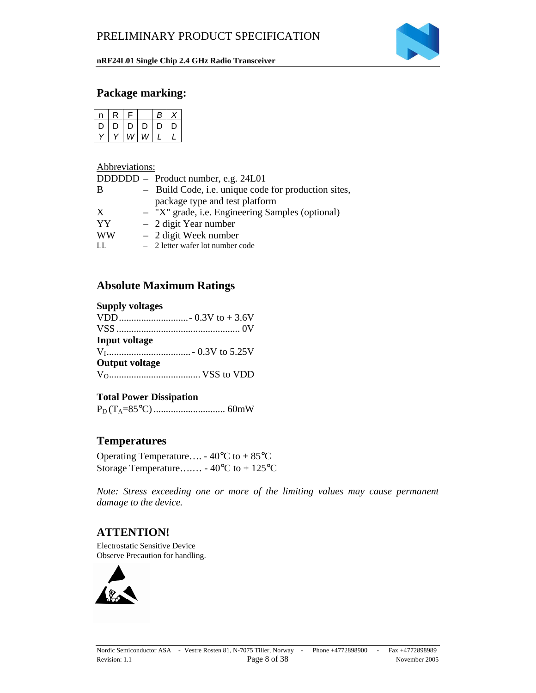

### **Package marking:**

| n | R | E |    | В |   |
|---|---|---|----|---|---|
| υ | D | D | D. | D | ט |
|   |   | w | W  |   |   |

#### Abbreviations:

|           | DDDDDD – Product number, e.g. 24L01                  |
|-----------|------------------------------------------------------|
| B         | - Build Code, i.e. unique code for production sites, |
|           | package type and test platform                       |
| X         | - "X" grade, i.e. Engineering Samples (optional)     |
| YY        | $-2$ digit Year number                               |
| <b>WW</b> | $-2$ digit Week number                               |
| LL.       | $-2$ letter wafer lot number code                    |

### **Absolute Maximum Ratings**

#### **Supply voltages**

| Input voltage         |  |
|-----------------------|--|
|                       |  |
| <b>Output voltage</b> |  |
|                       |  |

#### **Total Power Dissipation**

PD (TA=85°C) ............................. 60mW

### **Temperatures**

Operating Temperature…. - 40°C to + 85°C Storage Temperature….… - 40°C to + 125°C

*Note: Stress exceeding one or more of the limiting values may cause permanent damage to the device.*

### **ATTENTION!**

Electrostatic Sensitive Device Observe Precaution for handling.

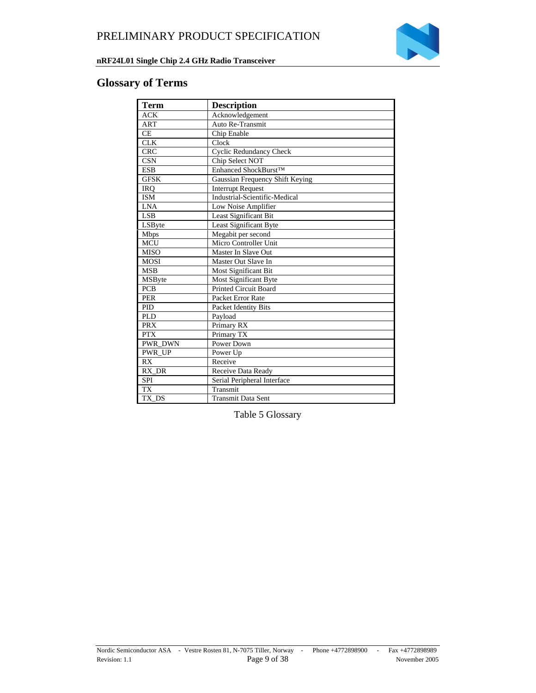

### **Glossary of Terms**

| <b>Term</b>            | <b>Description</b>              |  |  |  |
|------------------------|---------------------------------|--|--|--|
| <b>ACK</b>             | Acknowledgement                 |  |  |  |
| <b>ART</b>             | Auto Re-Transmit                |  |  |  |
| CE                     | Chip Enable                     |  |  |  |
| <b>CLK</b>             | Clock                           |  |  |  |
| <b>CRC</b>             | <b>Cyclic Redundancy Check</b>  |  |  |  |
| <b>CSN</b>             | Chip Select NOT                 |  |  |  |
| <b>ESB</b>             | Enhanced ShockBurst™            |  |  |  |
| <b>GFSK</b>            | Gaussian Frequency Shift Keying |  |  |  |
| <b>IRO</b>             | <b>Interrupt Request</b>        |  |  |  |
| <b>ISM</b>             | Industrial-Scientific-Medical   |  |  |  |
| <b>LNA</b>             | Low Noise Amplifier             |  |  |  |
| <b>LSB</b>             | Least Significant Bit           |  |  |  |
| LSByte                 | Least Significant Byte          |  |  |  |
| <b>Mbps</b>            | Megabit per second              |  |  |  |
| <b>MCU</b>             | Micro Controller Unit           |  |  |  |
| <b>MISO</b>            | Master In Slave Out             |  |  |  |
| <b>MOSI</b>            | Master Out Slave In             |  |  |  |
| <b>MSB</b>             | <b>Most Significant Bit</b>     |  |  |  |
| <b>MSB</b> yte         | Most Significant Byte           |  |  |  |
| <b>PCB</b>             | <b>Printed Circuit Board</b>    |  |  |  |
| <b>PER</b>             | Packet Error Rate               |  |  |  |
| <b>PID</b>             | Packet Identity Bits            |  |  |  |
| <b>PLD</b>             | Payload                         |  |  |  |
| <b>PRX</b>             | Primary RX                      |  |  |  |
| <b>PTX</b>             | Primary TX                      |  |  |  |
| <b>PWR DWN</b>         | Power Down                      |  |  |  |
| PWR UP                 | Power Up                        |  |  |  |
| RX                     | Receive                         |  |  |  |
| RX DR                  | Receive Data Ready              |  |  |  |
| <b>SPI</b>             | Serial Peripheral Interface     |  |  |  |
| $\overline{\text{TX}}$ | Transmit                        |  |  |  |
| TX DS                  | <b>Transmit Data Sent</b>       |  |  |  |

Table 5 Glossary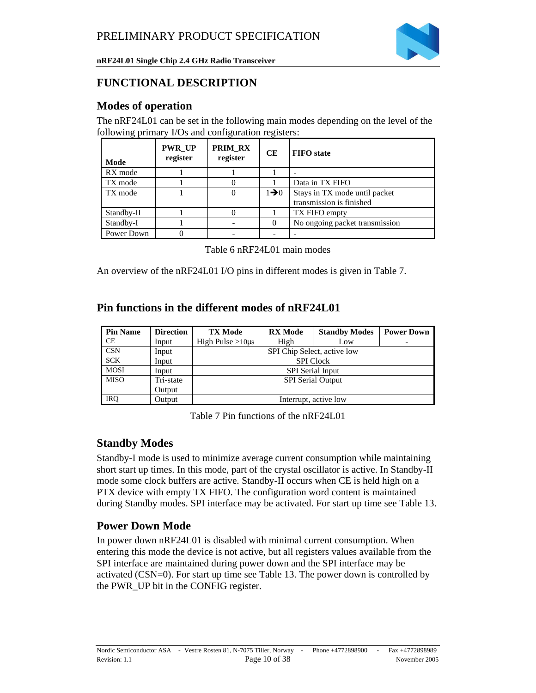

### **FUNCTIONAL DESCRIPTION**

### **Modes of operation**

The nRF24L01 can be set in the following main modes depending on the level of the following primary I/Os and configuration registers:

| Mode       | <b>PWR UP</b><br>register | PRIM RX<br>register | CЕ               | <b>FIFO</b> state                                         |
|------------|---------------------------|---------------------|------------------|-----------------------------------------------------------|
| RX mode    |                           |                     |                  |                                                           |
| TX mode    |                           |                     |                  | Data in TX FIFO                                           |
| TX mode    |                           |                     | $1\rightarrow 0$ | Stays in TX mode until packet<br>transmission is finished |
| Standby-II |                           |                     |                  | TX FIFO empty                                             |
| Standby-I  |                           |                     |                  | No ongoing packet transmission                            |
| Power Down |                           |                     |                  |                                                           |

| Table 6 nRF24L01 main modes |  |
|-----------------------------|--|
|-----------------------------|--|

An overview of the nRF24L01 I/O pins in different modes is given in Table 7.

### **Pin functions in the different modes of nRF24L01**

| <b>Pin Name</b> | <b>Direction</b> | <b>TX Mode</b>              | <b>RX</b> Mode   | <b>Standby Modes</b>  | <b>Power Down</b> |  |  |
|-----------------|------------------|-----------------------------|------------------|-----------------------|-------------------|--|--|
| <b>CE</b>       | Input            | High Pulse $>10\mu s$       | High             | Low                   | ۰                 |  |  |
| <b>CSN</b>      | Input            | SPI Chip Select, active low |                  |                       |                   |  |  |
| <b>SCK</b>      | Input            |                             | <b>SPI</b> Clock |                       |                   |  |  |
| <b>MOSI</b>     | Input            | <b>SPI</b> Serial Input     |                  |                       |                   |  |  |
| <b>MISO</b>     | Tri-state        | <b>SPI</b> Serial Output    |                  |                       |                   |  |  |
|                 | Output           |                             |                  |                       |                   |  |  |
| <b>IRO</b>      | Output           |                             |                  | Interrupt, active low |                   |  |  |

Table 7 Pin functions of the nRF24L01

### **Standby Modes**

Standby-I mode is used to minimize average current consumption while maintaining short start up times. In this mode, part of the crystal oscillator is active. In Standby-II mode some clock buffers are active. Standby-II occurs when CE is held high on a PTX device with empty TX FIFO. The configuration word content is maintained during Standby modes. SPI interface may be activated. For start up time see Table 13.

## **Power Down Mode**

In power down nRF24L01 is disabled with minimal current consumption. When entering this mode the device is not active, but all registers values available from the SPI interface are maintained during power down and the SPI interface may be activated (CSN=0). For start up time see Table 13. The power down is controlled by the PWR\_UP bit in the CONFIG register.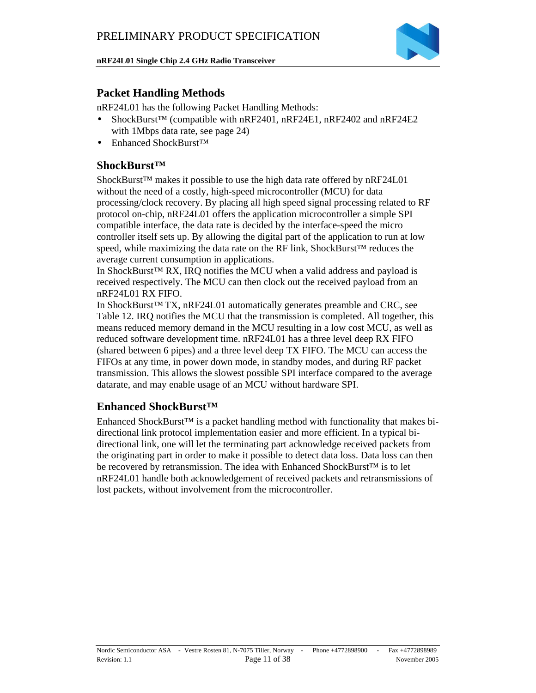

### **Packet Handling Methods**

nRF24L01 has the following Packet Handling Methods:

- ShockBurst<sup>™</sup> (compatible with nRF2401, nRF24E1, nRF2402 and nRF24E2 with 1Mbps data rate, see page 24)
- Enhanced ShockBurst™

### **ShockBurst™**

ShockBurst™ makes it possible to use the high data rate offered by nRF24L01 without the need of a costly, high-speed microcontroller (MCU) for data processing/clock recovery. By placing all high speed signal processing related to RF protocol on-chip, nRF24L01 offers the application microcontroller a simple SPI compatible interface, the data rate is decided by the interface-speed the micro controller itself sets up. By allowing the digital part of the application to run at low speed, while maximizing the data rate on the RF link, ShockBurst<sup>™</sup> reduces the average current consumption in applications.

In ShockBurst™ RX, IRQ notifies the MCU when a valid address and payload is received respectively. The MCU can then clock out the received payload from an nRF24L01 RX FIFO.

In ShockBurst™ TX, nRF24L01 automatically generates preamble and CRC, see Table 12. IRQ notifies the MCU that the transmission is completed. All together, this means reduced memory demand in the MCU resulting in a low cost MCU, as well as reduced software development time. nRF24L01 has a three level deep RX FIFO (shared between 6 pipes) and a three level deep TX FIFO. The MCU can access the FIFOs at any time, in power down mode, in standby modes, and during RF packet transmission. This allows the slowest possible SPI interface compared to the average datarate, and may enable usage of an MCU without hardware SPI.

#### **Enhanced ShockBurst™**

Enhanced ShockBurst™ is a packet handling method with functionality that makes bidirectional link protocol implementation easier and more efficient. In a typical bidirectional link, one will let the terminating part acknowledge received packets from the originating part in order to make it possible to detect data loss. Data loss can then be recovered by retransmission. The idea with Enhanced ShockBurst™ is to let nRF24L01 handle both acknowledgement of received packets and retransmissions of lost packets, without involvement from the microcontroller.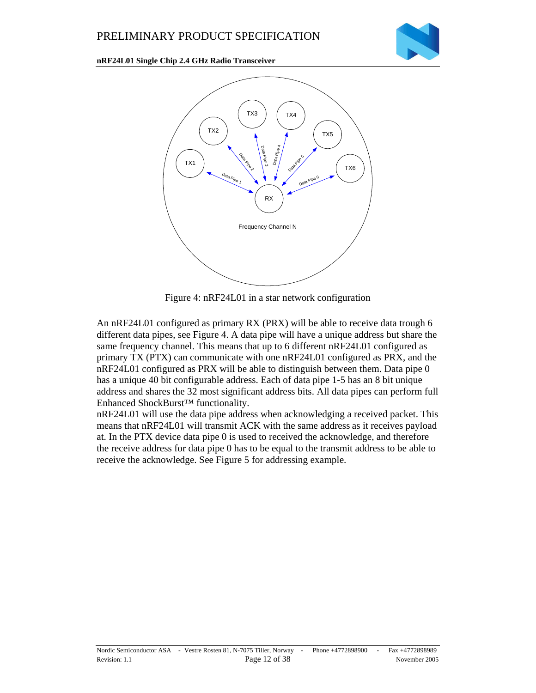



Figure 4: nRF24L01 in a star network configuration

An nRF24L01 configured as primary RX (PRX) will be able to receive data trough 6 different data pipes, see Figure 4. A data pipe will have a unique address but share the same frequency channel. This means that up to 6 different nRF24L01 configured as primary TX (PTX) can communicate with one nRF24L01 configured as PRX, and the nRF24L01 configured as PRX will be able to distinguish between them. Data pipe 0 has a unique 40 bit configurable address. Each of data pipe 1-5 has an 8 bit unique address and shares the 32 most significant address bits. All data pipes can perform full Enhanced ShockBurst™ functionality.

nRF24L01 will use the data pipe address when acknowledging a received packet. This means that nRF24L01 will transmit ACK with the same address as it receives payload at. In the PTX device data pipe 0 is used to received the acknowledge, and therefore the receive address for data pipe 0 has to be equal to the transmit address to be able to receive the acknowledge. See Figure 5 for addressing example.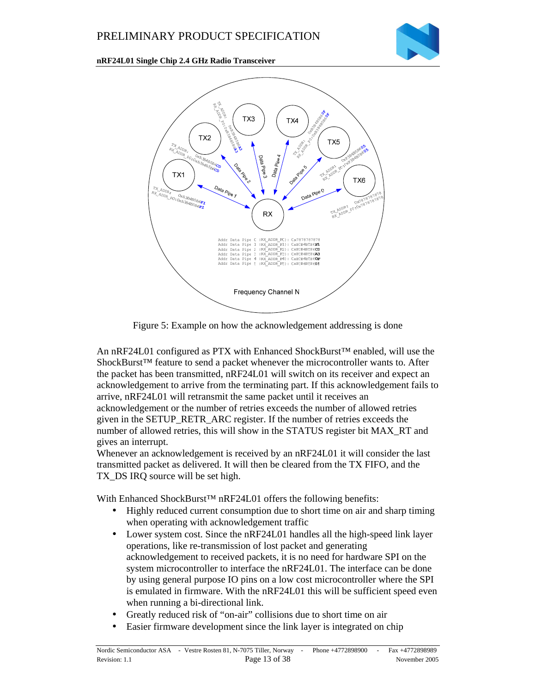



Figure 5: Example on how the acknowledgement addressing is done

An nRF24L01 configured as PTX with Enhanced ShockBurst™ enabled, will use the ShockBurst<sup>™</sup> feature to send a packet whenever the microcontroller wants to. After the packet has been transmitted, nRF24L01 will switch on its receiver and expect an acknowledgement to arrive from the terminating part. If this acknowledgement fails to arrive, nRF24L01 will retransmit the same packet until it receives an acknowledgement or the number of retries exceeds the number of allowed retries given in the SETUP\_RETR\_ARC register. If the number of retries exceeds the number of allowed retries, this will show in the STATUS register bit MAX\_RT and gives an interrupt.

Whenever an acknowledgement is received by an nRF24L01 it will consider the last transmitted packet as delivered. It will then be cleared from the TX FIFO, and the TX\_DS IRQ source will be set high.

With Enhanced ShockBurst™ nRF24L01 offers the following benefits:

- Highly reduced current consumption due to short time on air and sharp timing when operating with acknowledgement traffic
- Lower system cost. Since the nRF24L01 handles all the high-speed link layer operations, like re-transmission of lost packet and generating acknowledgement to received packets, it is no need for hardware SPI on the system microcontroller to interface the nRF24L01. The interface can be done by using general purpose IO pins on a low cost microcontroller where the SPI is emulated in firmware. With the nRF24L01 this will be sufficient speed even when running a bi-directional link.
- Greatly reduced risk of "on-air" collisions due to short time on air
- Easier firmware development since the link layer is integrated on chip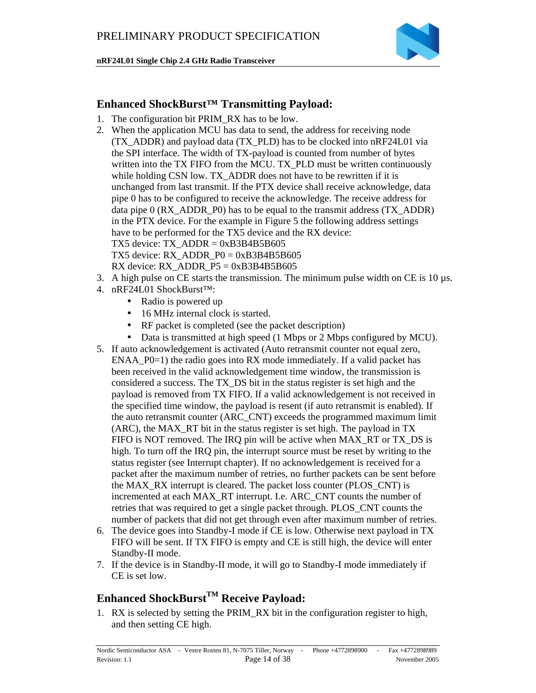

### **Enhanced ShockBurst™ Transmitting Payload:**

- 1. The configuration bit PRIM\_RX has to be low.
- 2. When the application MCU has data to send, the address for receiving node (TX\_ADDR) and payload data (TX\_PLD) has to be clocked into nRF24L01 via the SPI interface. The width of TX-payload is counted from number of bytes written into the TX FIFO from the MCU. TX PLD must be written continuously while holding CSN low. TX\_ADDR does not have to be rewritten if it is unchanged from last transmit. If the PTX device shall receive acknowledge, data pipe 0 has to be configured to receive the acknowledge. The receive address for data pipe 0 (RX\_ADDR\_P0) has to be equal to the transmit address (TX\_ADDR) in the PTX device. For the example in Figure 5 the following address settings have to be performed for the TX5 device and the RX device: TX5 device:  $TX$ \_ADDR =  $0xB3B4B5B605$ TX5 device: RX\_ADDR\_P0 =  $0xB3B4B5B605$ RX device: RX\_ADDR\_P5 =  $0xB3B4B5B605$
- 3. A high pulse on CE starts the transmission. The minimum pulse width on CE is  $10 \mu s$ .
- 4. nRF24L01 ShockBurst™:
	- Radio is powered up
	- 16 MHz internal clock is started.
	- RF packet is completed (see the packet description)
	- Data is transmitted at high speed (1 Mbps or 2 Mbps configured by MCU).
- 5. If auto acknowledgement is activated (Auto retransmit counter not equal zero, ENAA\_P0=1) the radio goes into RX mode immediately. If a valid packet has been received in the valid acknowledgement time window, the transmission is considered a success. The TX\_DS bit in the status register is set high and the payload is removed from TX FIFO. If a valid acknowledgement is not received in the specified time window, the payload is resent (if auto retransmit is enabled). If the auto retransmit counter (ARC\_CNT) exceeds the programmed maximum limit (ARC), the MAX\_RT bit in the status register is set high. The payload in TX FIFO is NOT removed. The IRQ pin will be active when MAX\_RT or TX\_DS is high. To turn off the IRQ pin, the interrupt source must be reset by writing to the status register (see Interrupt chapter). If no acknowledgement is received for a packet after the maximum number of retries, no further packets can be sent before the MAX\_RX interrupt is cleared. The packet loss counter (PLOS\_CNT) is incremented at each MAX\_RT interrupt. I.e. ARC\_CNT counts the number of retries that was required to get a single packet through. PLOS\_CNT counts the number of packets that did not get through even after maximum number of retries.
- 6. The device goes into Standby-I mode if CE is low. Otherwise next payload in TX FIFO will be sent. If TX FIFO is empty and CE is still high, the device will enter Standby-II mode.
- 7. If the device is in Standby-II mode, it will go to Standby-I mode immediately if CE is set low.

# **Enhanced ShockBurstTM Receive Payload:**

1. RX is selected by setting the PRIM\_RX bit in the configuration register to high, and then setting CE high.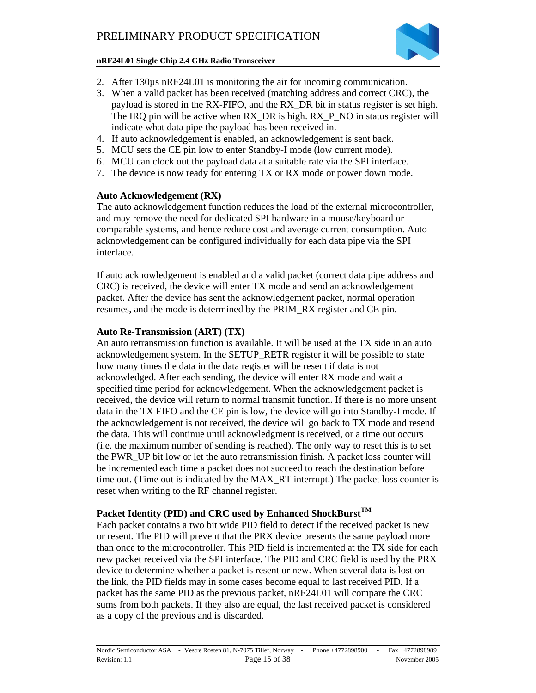

- 2. After 130 $\mu$ s nRF24L01 is monitoring the air for incoming communication.
- 3. When a valid packet has been received (matching address and correct CRC), the payload is stored in the RX-FIFO, and the RX\_DR bit in status register is set high. The IRQ pin will be active when RX\_DR is high. RX\_P\_NO in status register will indicate what data pipe the payload has been received in.
- 4. If auto acknowledgement is enabled, an acknowledgement is sent back.
- 5. MCU sets the CE pin low to enter Standby-I mode (low current mode).
- 6. MCU can clock out the payload data at a suitable rate via the SPI interface.
- 7. The device is now ready for entering TX or RX mode or power down mode.

#### **Auto Acknowledgement (RX)**

The auto acknowledgement function reduces the load of the external microcontroller, and may remove the need for dedicated SPI hardware in a mouse/keyboard or comparable systems, and hence reduce cost and average current consumption. Auto acknowledgement can be configured individually for each data pipe via the SPI interface.

If auto acknowledgement is enabled and a valid packet (correct data pipe address and CRC) is received, the device will enter TX mode and send an acknowledgement packet. After the device has sent the acknowledgement packet, normal operation resumes, and the mode is determined by the PRIM\_RX register and CE pin.

#### **Auto Re-Transmission (ART) (TX)**

An auto retransmission function is available. It will be used at the TX side in an auto acknowledgement system. In the SETUP\_RETR register it will be possible to state how many times the data in the data register will be resent if data is not acknowledged. After each sending, the device will enter RX mode and wait a specified time period for acknowledgement. When the acknowledgement packet is received, the device will return to normal transmit function. If there is no more unsent data in the TX FIFO and the CE pin is low, the device will go into Standby-I mode. If the acknowledgement is not received, the device will go back to TX mode and resend the data. This will continue until acknowledgment is received, or a time out occurs (i.e. the maximum number of sending is reached). The only way to reset this is to set the PWR\_UP bit low or let the auto retransmission finish. A packet loss counter will be incremented each time a packet does not succeed to reach the destination before time out. (Time out is indicated by the MAX\_RT interrupt.) The packet loss counter is reset when writing to the RF channel register.

#### **Packet Identity (PID) and CRC used by Enhanced ShockBurstTM**

Each packet contains a two bit wide PID field to detect if the received packet is new or resent. The PID will prevent that the PRX device presents the same payload more than once to the microcontroller. This PID field is incremented at the TX side for each new packet received via the SPI interface. The PID and CRC field is used by the PRX device to determine whether a packet is resent or new. When several data is lost on the link, the PID fields may in some cases become equal to last received PID. If a packet has the same PID as the previous packet, nRF24L01 will compare the CRC sums from both packets. If they also are equal, the last received packet is considered as a copy of the previous and is discarded.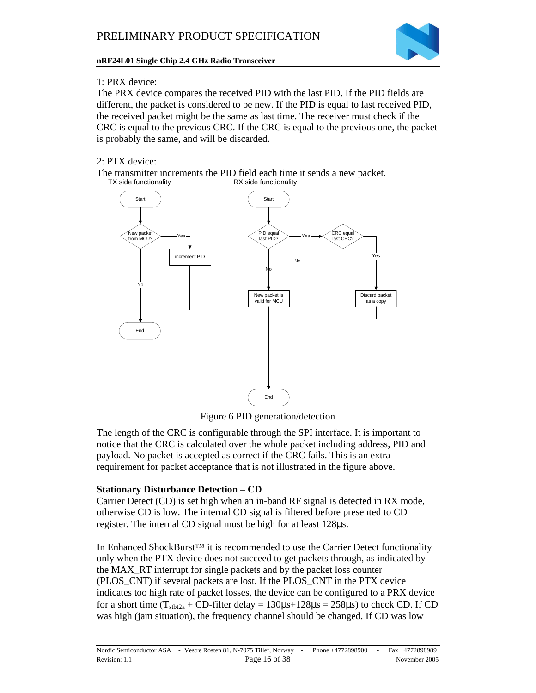

#### 1: PRX device:

The PRX device compares the received PID with the last PID. If the PID fields are different, the packet is considered to be new. If the PID is equal to last received PID, the received packet might be the same as last time. The receiver must check if the CRC is equal to the previous CRC. If the CRC is equal to the previous one, the packet is probably the same, and will be discarded.

#### 2: PTX device:

The transmitter increments the PID field each time it sends a new packet.<br>TX side functionality RX side functionality



Figure 6 PID generation/detection

The length of the CRC is configurable through the SPI interface. It is important to notice that the CRC is calculated over the whole packet including address, PID and payload. No packet is accepted as correct if the CRC fails. This is an extra requirement for packet acceptance that is not illustrated in the figure above.

#### **Stationary Disturbance Detection – CD**

Carrier Detect (CD) is set high when an in-band RF signal is detected in RX mode, otherwise CD is low. The internal CD signal is filtered before presented to CD register. The internal CD signal must be high for at least 128µs.

In Enhanced ShockBurst<sup>™</sup> it is recommended to use the Carrier Detect functionality only when the PTX device does not succeed to get packets through, as indicated by the MAX\_RT interrupt for single packets and by the packet loss counter (PLOS\_CNT) if several packets are lost. If the PLOS\_CNT in the PTX device indicates too high rate of packet losses, the device can be configured to a PRX device for a short time  $(T_{\text{stb2a}} + CD\text{-filter delay} = 130\mu s + 128\mu s = 258\mu s)$  to check CD. If CD was high (jam situation), the frequency channel should be changed. If CD was low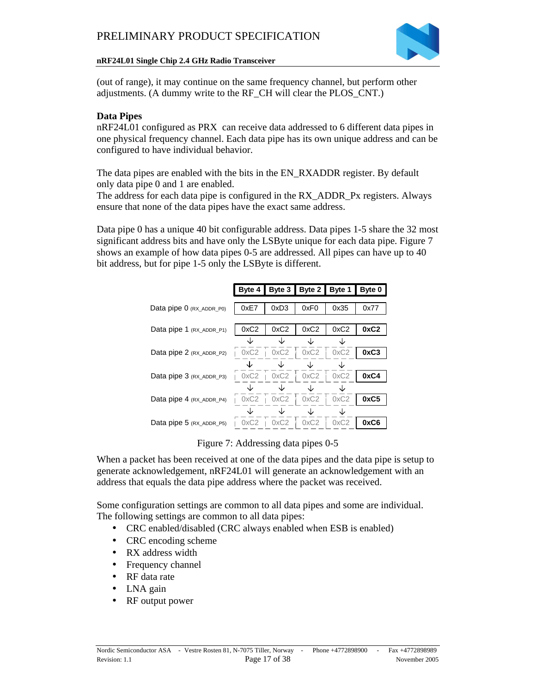

(out of range), it may continue on the same frequency channel, but perform other adjustments. (A dummy write to the RF\_CH will clear the PLOS\_CNT.)

#### **Data Pipes**

nRF24L01 configured as PRX can receive data addressed to 6 different data pipes in one physical frequency channel. Each data pipe has its own unique address and can be configured to have individual behavior.

The data pipes are enabled with the bits in the EN\_RXADDR register. By default only data pipe 0 and 1 are enabled.

The address for each data pipe is configured in the RX\_ADDR\_Px registers. Always ensure that none of the data pipes have the exact same address.

Data pipe 0 has a unique 40 bit configurable address. Data pipes 1-5 share the 32 most significant address bits and have only the LSByte unique for each data pipe. Figure 7 shows an example of how data pipes 0-5 are addressed. All pipes can have up to 40 bit address, but for pipe 1-5 only the LSByte is different.

|                          | Byte 4 |      | Byte 3   Byte 2   Byte 1 |      | Byte 0 |
|--------------------------|--------|------|--------------------------|------|--------|
| Data pipe 0 (RX_ADDR_P0) | 0xE7   | 0xD3 | 0xF <sub>0</sub>         | 0x35 | 0x77   |
| Data pipe 1 (RX_ADDR_P1) | 0xC2   | 0xC2 | 0xC2                     | 0xC2 | 0xC2   |
|                          |        |      |                          |      |        |
| Data pipe 2 (RX_ADDR_P2) | 0xC2   | 0xC2 | 0xC2                     | 0xC2 | 0xC3   |
|                          |        |      |                          |      |        |
| Data pipe 3 (RX_ADDR_P3) | 0xC2   | 0xC2 | 0xC2                     | 0xC2 | 0xC4   |
|                          |        |      |                          |      |        |
| Data pipe 4 (RX_ADDR_P4) | 0xC2   | 0xC2 | 0xC2                     | 0xC2 | 0xC5   |
|                          |        |      |                          |      |        |
| Data pipe 5 (RX_ADDR_P5) | 0xC2   | 0xC2 | 0xC2                     | 0xC2 | 0xC6   |

Figure 7: Addressing data pipes 0-5

When a packet has been received at one of the data pipes and the data pipe is setup to generate acknowledgement, nRF24L01 will generate an acknowledgement with an address that equals the data pipe address where the packet was received.

Some configuration settings are common to all data pipes and some are individual. The following settings are common to all data pipes:

- CRC enabled/disabled (CRC always enabled when ESB is enabled)
- CRC encoding scheme
- RX address width
- Frequency channel
- RF data rate
- LNA gain
- RF output power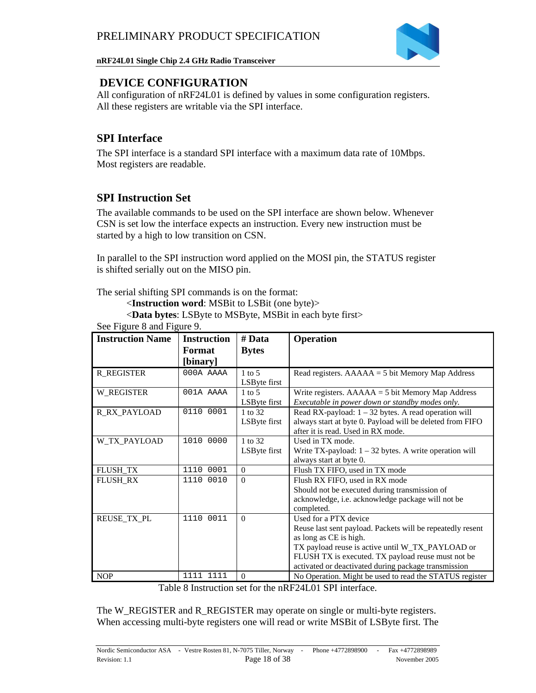

### **DEVICE CONFIGURATION**

All configuration of nRF24L01 is defined by values in some configuration registers. All these registers are writable via the SPI interface.

### **SPI Interface**

The SPI interface is a standard SPI interface with a maximum data rate of 10Mbps. Most registers are readable.

### **SPI Instruction Set**

The available commands to be used on the SPI interface are shown below. Whenever CSN is set low the interface expects an instruction. Every new instruction must be started by a high to low transition on CSN.

In parallel to the SPI instruction word applied on the MOSI pin, the STATUS register is shifted serially out on the MISO pin.

The serial shifting SPI commands is on the format:

<**Instruction word**: MSBit to LSBit (one byte)>

<**Data bytes**: LSByte to MSByte, MSBit in each byte first> See Figure 8 and Figure 0.

| See Figure 8 and Figure 9. |                    |              |                                                            |
|----------------------------|--------------------|--------------|------------------------------------------------------------|
| <b>Instruction Name</b>    | <b>Instruction</b> | # Data       | <b>Operation</b>                                           |
|                            | Format             | <b>Bytes</b> |                                                            |
|                            | [binary]           |              |                                                            |
| <b>R_REGISTER</b>          | 000A AAAA          | $1$ to 5     | Read registers. $AAAAA = 5$ bit Memory Map Address         |
|                            |                    | LSByte first |                                                            |
| W_REGISTER                 | 001A AAAA          | $1$ to 5     | Write registers. $AAAAA = 5$ bit Memory Map Address        |
|                            |                    | LSByte first | Executable in power down or standby modes only.            |
| <b>R_RX_PAYLOAD</b>        | 0110 0001          | 1 to 32      | Read RX-payload: $1 - 32$ bytes. A read operation will     |
|                            |                    | LSByte first | always start at byte 0. Payload will be deleted from FIFO  |
|                            |                    |              | after it is read. Used in RX mode.                         |
| W_TX_PAYLOAD               | 1010 0000          | 1 to 32      | Used in TX mode.                                           |
|                            |                    | LSByte first | Write TX-payload: $1 - 32$ bytes. A write operation will   |
|                            |                    |              | always start at byte 0.                                    |
| FLUSH TX                   | 1110<br>0001       | $\Omega$     | Flush TX FIFO, used in TX mode                             |
| <b>FLUSH RX</b>            | 1110 0010          | $\Omega$     | Flush RX FIFO, used in RX mode                             |
|                            |                    |              | Should not be executed during transmission of              |
|                            |                    |              | acknowledge, i.e. acknowledge package will not be          |
|                            |                    |              | completed.                                                 |
| REUSE_TX_PL                | 1110<br>0011       | $\Omega$     | Used for a PTX device                                      |
|                            |                    |              | Reuse last sent payload. Packets will be repeatedly resent |
|                            |                    |              | as long as CE is high.                                     |
|                            |                    |              | TX payload reuse is active until W_TX_PAYLOAD or           |
|                            |                    |              | FLUSH TX is executed. TX payload reuse must not be         |
|                            |                    |              | activated or deactivated during package transmission       |
| <b>NOP</b>                 | 1111 1111          | $\mathbf{0}$ | No Operation. Might be used to read the STATUS register    |

Table 8 Instruction set for the nRF24L01 SPI interface.

The W\_REGISTER and R\_REGISTER may operate on single or multi-byte registers. When accessing multi-byte registers one will read or write MSBit of LSByte first. The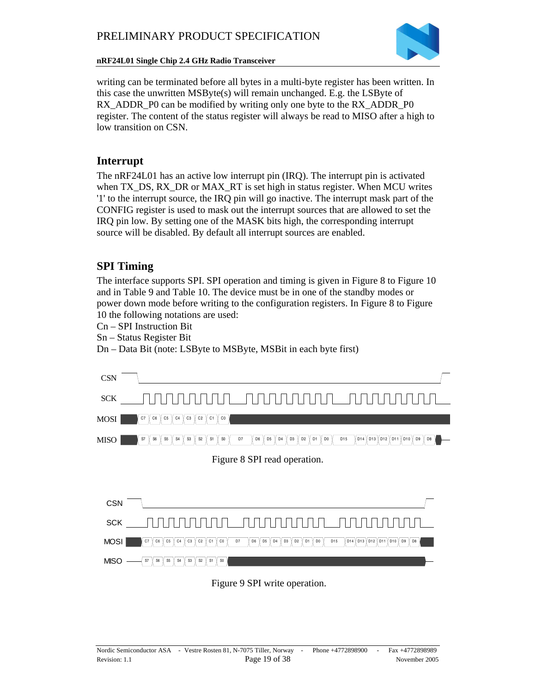

writing can be terminated before all bytes in a multi-byte register has been written. In this case the unwritten  $MSByte(s)$  will remain unchanged. E.g. the LSByte of RX\_ADDR\_P0 can be modified by writing only one byte to the RX\_ADDR\_P0 register. The content of the status register will always be read to MISO after a high to low transition on CSN.

### **Interrupt**

The nRF24L01 has an active low interrupt pin (IRQ). The interrupt pin is activated when TX\_DS, RX\_DR or MAX\_RT is set high in status register. When MCU writes '1' to the interrupt source, the IRQ pin will go inactive. The interrupt mask part of the CONFIG register is used to mask out the interrupt sources that are allowed to set the IRQ pin low. By setting one of the MASK bits high, the corresponding interrupt source will be disabled. By default all interrupt sources are enabled.

### **SPI Timing**

The interface supports SPI. SPI operation and timing is given in Figure 8 to Figure 10 and in Table 9 and Table 10. The device must be in one of the standby modes or power down mode before writing to the configuration registers. In Figure 8 to Figure 10 the following notations are used:

- Cn SPI Instruction Bit
- Sn Status Register Bit

Dn – Data Bit (note: LSByte to MSByte, MSBit in each byte first)

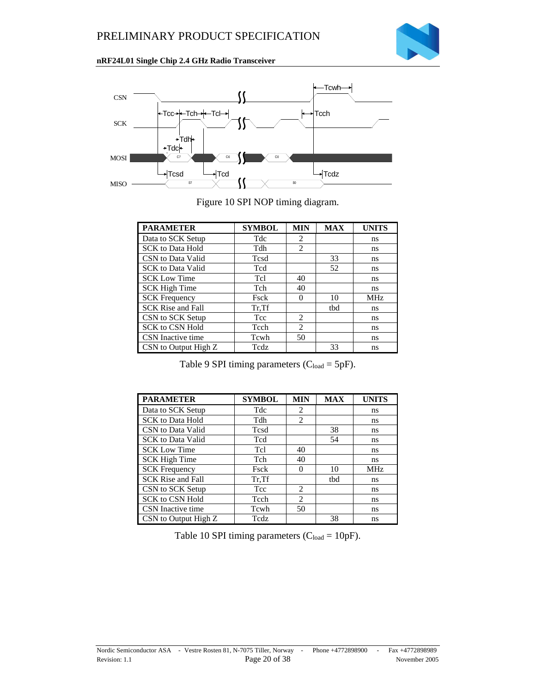



Figure 10 SPI NOP timing diagram.

| <b>PARAMETER</b>         | <b>SYMBOL</b> | <b>MIN</b>                  | <b>MAX</b> | <b>UNITS</b> |
|--------------------------|---------------|-----------------------------|------------|--------------|
| Data to SCK Setup        | Tdc           | 2                           |            | ns           |
| <b>SCK</b> to Data Hold  | Tdh           | 2                           |            | ns           |
| CSN to Data Valid        | Tcsd          |                             | 33         | ns           |
| <b>SCK</b> to Data Valid | Tcd           |                             | 52         | ns           |
| <b>SCK Low Time</b>      | Tcl           | 40                          |            | ns           |
| <b>SCK High Time</b>     | Tch           | 40                          |            | ns           |
| <b>SCK Frequency</b>     | Fsck          | $\Omega$                    | 10         | <b>MHz</b>   |
| <b>SCK Rise and Fall</b> | Tr, Tf        |                             | tbd        | ns           |
| CSN to SCK Setup         | Tcc           | $\mathfrak{D}$              |            | ns           |
| SCK to CSN Hold          | Tcch          | $\mathcal{D}_{\mathcal{L}}$ |            | ns           |
| CSN Inactive time        | Tcwh          | 50                          |            | ns           |
| CSN to Output High Z     | Tcdz          |                             | 33         | ns           |

Table 9 SPI timing parameters  $(C_{load} = 5pF)$ .

| <b>PARAMETER</b>         | <b>SYMBOL</b> | <b>MIN</b>     | <b>MAX</b> | <b>UNITS</b> |
|--------------------------|---------------|----------------|------------|--------------|
| Data to SCK Setup        | Tdc           | $\mathfrak{D}$ |            | ns           |
| <b>SCK</b> to Data Hold  | Tdh           | $\overline{c}$ |            | ns           |
| CSN to Data Valid        | Tcsd          |                | 38         | ns           |
| <b>SCK</b> to Data Valid | Tcd           |                | 54         | ns           |
| <b>SCK Low Time</b>      | Tcl           | 40             |            | ns           |
| <b>SCK High Time</b>     | Tch           | 40             |            | ns           |
| <b>SCK Frequency</b>     | Fsck          | 0              | 10         | <b>MHz</b>   |
| <b>SCK Rise and Fall</b> | Tr, Tf        |                | tbd        | ns           |
| CSN to SCK Setup         | Tcc           | $\mathfrak{D}$ |            | ns           |
| SCK to CSN Hold          | Tcch          | $\overline{c}$ |            | ns           |
| CSN Inactive time        | Tcwh          | 50             |            | ns           |
| CSN to Output High Z     | Tedz          |                | 38         | ns           |

Table 10 SPI timing parameters  $(C_{load} = 10pF)$ .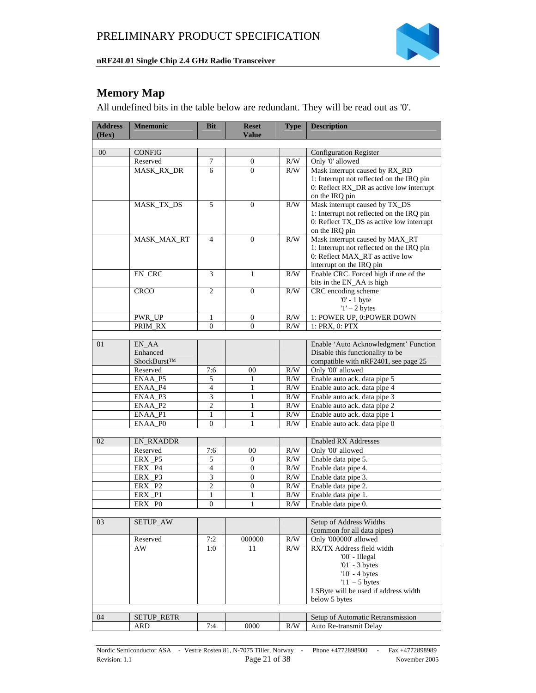

## **Memory Map**

All undefined bits in the table below are redundant. They will be read out as '0'.

| <b>Address</b> | <b>Mnemonic</b>              | <b>Bit</b>     | <b>Reset</b>     | <b>Type</b> | <b>Description</b>                                          |
|----------------|------------------------------|----------------|------------------|-------------|-------------------------------------------------------------|
| (Hex)          |                              |                | <b>Value</b>     |             |                                                             |
|                |                              |                |                  |             |                                                             |
| 00             | <b>CONFIG</b>                |                |                  |             | <b>Configuration Register</b>                               |
|                | Reserved                     | 7              | $\boldsymbol{0}$ | R/W         | Only '0' allowed                                            |
|                | MASK_RX_DR                   | 6              | $\Omega$         | R/W         | Mask interrupt caused by RX_RD                              |
|                |                              |                |                  |             | 1: Interrupt not reflected on the IRQ pin                   |
|                |                              |                |                  |             | 0: Reflect RX_DR as active low interrupt                    |
|                |                              |                |                  |             | on the IRQ pin                                              |
|                | MASK_TX_DS                   | 5              | $\mathbf{0}$     | R/W         | Mask interrupt caused by TX_DS                              |
|                |                              |                |                  |             | 1: Interrupt not reflected on the IRQ pin                   |
|                |                              |                |                  |             | 0: Reflect TX_DS as active low interrupt                    |
|                |                              |                |                  |             | on the IRQ pin                                              |
|                | MASK_MAX_RT                  | $\overline{4}$ | $\boldsymbol{0}$ | R/W         | Mask interrupt caused by MAX_RT                             |
|                |                              |                |                  |             | 1: Interrupt not reflected on the IRQ pin                   |
|                |                              |                |                  |             | 0: Reflect MAX_RT as active low                             |
|                |                              |                |                  |             | interrupt on the IRQ pin                                    |
|                | EN_CRC                       | 3              | 1                | R/W         | Enable CRC. Forced high if one of the                       |
|                |                              |                |                  |             | bits in the EN_AA is high                                   |
|                | <b>CRCO</b>                  | 2              | $\mathbf{0}$     | R/W         | CRC encoding scheme                                         |
|                |                              |                |                  |             | $'0'$ - 1 byte                                              |
|                |                              |                |                  |             | $1' - 2$ bytes                                              |
|                | PWR_UP                       | 1              | $\mathbf{0}$     | R/W         | 1: POWER UP, 0:POWER DOWN                                   |
|                | PRIM_RX                      | $\overline{0}$ | $\overline{0}$   | R/W         | 1: PRX, 0: PTX                                              |
|                |                              |                |                  |             |                                                             |
| 01             | EN_AA                        |                |                  |             | Enable 'Auto Acknowledgment' Function                       |
|                | Enhanced                     |                |                  |             | Disable this functionality to be                            |
|                | ShockBurst™                  |                |                  |             | compatible with nRF2401, see page 25                        |
|                | Reserved                     | 7:6            | 00               | R/W         | Only '00' allowed                                           |
|                | ENAA_P5                      | 5              | 1                | R/W         | Enable auto ack. data pipe 5                                |
|                | ENAA_P4                      | $\overline{4}$ | 1                | R/W         | Enable auto ack. data pipe 4                                |
|                | ENAA P3                      | 3              | $\mathbf{1}$     | R/W         | Enable auto ack. data pipe 3                                |
|                | ENAA_P2                      | $\overline{2}$ | 1                | R/W         | Enable auto ack. data pipe 2                                |
|                | $ENAA$ <sub>P1</sub>         | 1              | 1                | R/W         | Enable auto ack. data pipe 1                                |
|                | ENAA P0                      | $\overline{0}$ | $\mathbf{1}$     | R/W         | Enable auto ack. data pipe 0                                |
|                |                              |                |                  |             |                                                             |
| 02             | <b>EN_RXADDR</b>             |                |                  |             | <b>Enabled RX Addresses</b>                                 |
|                | Reserved                     | 7:6            | 00               | R/W         | Only '00' allowed                                           |
|                | ERX_P5                       | 5              | $\mathbf{0}$     | R/W         | Enable data pipe 5.                                         |
|                | <b>ERX</b><br>P <sub>4</sub> | $\overline{4}$ | $\overline{0}$   | R/W         | Enable data pipe 4.                                         |
|                | ERX P3                       | 3              | $\theta$         | R/W         | Enable data pipe 3.                                         |
|                | ERX P2                       | $\overline{c}$ | $\boldsymbol{0}$ | R/W         | Enable data pipe 2.                                         |
|                | ERX<br>P <sub>1</sub>        | 1              | 1                | R/W         | Enable data pipe 1.                                         |
|                | ERX PO                       | $\theta$       | 1                | R/W         | Enable data pipe 0.                                         |
|                |                              |                |                  |             |                                                             |
| 03             | <b>SETUP_AW</b>              |                |                  |             | Setup of Address Widths                                     |
|                |                              |                |                  |             | (common for all data pipes)                                 |
|                | Reserved                     | 7:2            | 000000           | R/W         | Only '000000' allowed                                       |
|                | AW                           | 1:0            | 11               | R/W         | RX/TX Address field width                                   |
|                |                              |                |                  |             | '00' - Illegal                                              |
|                |                              |                |                  |             | $'01'$ - 3 bytes                                            |
|                |                              |                |                  |             | $'10'$ - 4 bytes                                            |
|                |                              |                |                  |             | $'11' - 5$ bytes                                            |
|                |                              |                |                  |             | LSByte will be used if address width                        |
|                |                              |                |                  |             | below 5 bytes                                               |
|                |                              |                |                  |             |                                                             |
| 04             | <b>SETUP_RETR</b><br>ARD     | 7:4            | $0000\,$         | R/W         | Setup of Automatic Retransmission<br>Auto Re-transmit Delay |
|                |                              |                |                  |             |                                                             |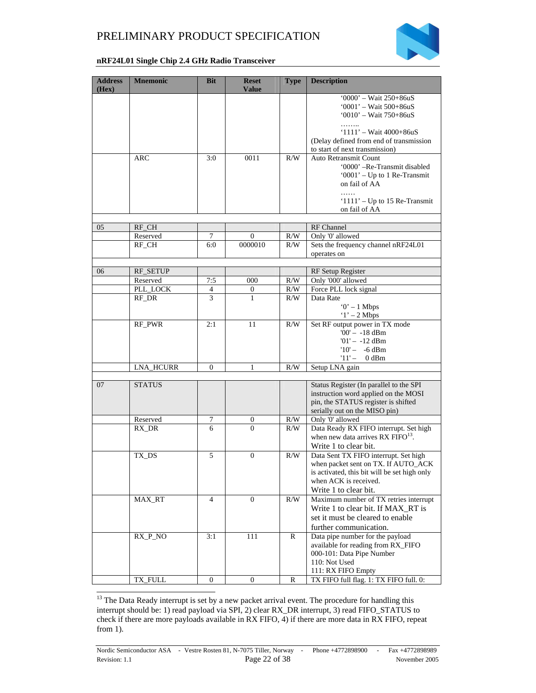

#### **nRF24L01 Single Chip 2.4 GHz Radio Transceiver**

| <b>Address</b><br>(Hex) | <b>Mnemonic</b>  | <b>Bit</b>       | <b>Reset</b><br><b>Value</b> | <b>Type</b> | <b>Description</b>                                                                      |
|-------------------------|------------------|------------------|------------------------------|-------------|-----------------------------------------------------------------------------------------|
|                         |                  |                  |                              |             | '0000' - Wait $250+86uS$                                                                |
|                         |                  |                  |                              |             | $'0001' - Wait 500 + 86uS$                                                              |
|                         |                  |                  |                              |             | $'0010' - Wait 750 + 86uS$                                                              |
|                         |                  |                  |                              |             |                                                                                         |
|                         |                  |                  |                              |             | $1111' - Wait 4000 + 86uS$                                                              |
|                         |                  |                  |                              |             | (Delay defined from end of transmission                                                 |
|                         |                  |                  |                              |             | to start of next transmission)                                                          |
|                         | ARC              | 3:0              | 0011                         | R/W         | Auto Retransmit Count                                                                   |
|                         |                  |                  |                              |             | '0000' -Re-Transmit disabled                                                            |
|                         |                  |                  |                              |             | '0001' - Up to 1 Re-Transmit                                                            |
|                         |                  |                  |                              |             | on fail of AA                                                                           |
|                         |                  |                  |                              |             | .                                                                                       |
|                         |                  |                  |                              |             | ' $1111'$ – Up to 15 Re-Transmit                                                        |
|                         |                  |                  |                              |             | on fail of AA                                                                           |
| 05                      | RF_CH            |                  |                              |             | RF Channel                                                                              |
|                         | Reserved         | 7                | $\boldsymbol{0}$             | R/W         | Only '0' allowed                                                                        |
|                         | RF_CH            | 6:0              | 0000010                      | R/W         | Sets the frequency channel nRF24L01                                                     |
|                         |                  |                  |                              |             | operates on                                                                             |
|                         |                  |                  |                              |             |                                                                                         |
| 06                      | <b>RF_SETUP</b>  |                  |                              |             | RF Setup Register                                                                       |
|                         | Reserved         | 7:5              | 000                          | R/W         | Only '000' allowed                                                                      |
|                         | PLL_LOCK         | 4                | 0                            | $\rm R/W$   | Force PLL lock signal                                                                   |
|                         | RF_DR            | 3                | 1                            | R/W         | Data Rate                                                                               |
|                         |                  |                  |                              |             | $0' - 1$ Mbps                                                                           |
|                         |                  |                  |                              |             | $1' - 2$ Mbps                                                                           |
|                         | RF_PWR           | 2:1              | 11                           | R/W         | Set RF output power in TX mode                                                          |
|                         |                  |                  |                              |             | $'00' - -18$ dBm                                                                        |
|                         |                  |                  |                              |             | $'01' - -12$ dBm                                                                        |
|                         |                  |                  |                              |             | $10' - -6$ dBm                                                                          |
|                         |                  |                  |                              |             | $11' -$<br>$0$ dBm                                                                      |
|                         | <b>LNA_HCURR</b> | $\mathbf{0}$     | 1                            | R/W         | Setup LNA gain                                                                          |
|                         |                  |                  |                              |             |                                                                                         |
| 07                      | <b>STATUS</b>    |                  |                              |             | Status Register (In parallel to the SPI                                                 |
|                         |                  |                  |                              |             | instruction word applied on the MOSI                                                    |
|                         |                  |                  |                              |             | pin, the STATUS register is shifted                                                     |
|                         |                  |                  |                              |             | serially out on the MISO pin)                                                           |
|                         | Reserved         | 7                | $\boldsymbol{0}$             | R/W         | Only '0' allowed                                                                        |
|                         | RX_DR            | 6                | $\Omega$                     | R/W         | Data Ready RX FIFO interrupt. Set high<br>when new data arrives RX FIFO <sup>13</sup> . |
|                         |                  |                  |                              |             |                                                                                         |
|                         |                  | 5                | $\boldsymbol{0}$             | R/W         | Write 1 to clear bit.<br>Data Sent TX FIFO interrupt. Set high                          |
|                         | TX_DS            |                  |                              |             | when packet sent on TX. If AUTO_ACK                                                     |
|                         |                  |                  |                              |             | is activated, this bit will be set high only                                            |
|                         |                  |                  |                              |             | when ACK is received.                                                                   |
|                         |                  |                  |                              |             | Write 1 to clear bit.                                                                   |
|                         | MAX_RT           | 4                | $\overline{0}$               | R/W         | Maximum number of TX retries interrupt                                                  |
|                         |                  |                  |                              |             | Write 1 to clear bit. If MAX_RT is                                                      |
|                         |                  |                  |                              |             | set it must be cleared to enable                                                        |
|                         |                  |                  |                              |             |                                                                                         |
|                         |                  |                  |                              |             | further communication.                                                                  |
|                         | $RX_P_NO$        | 3:1              | 111                          | R           | Data pipe number for the payload<br>available for reading from RX_FIFO                  |
|                         |                  |                  |                              |             | 000-101: Data Pipe Number                                                               |
|                         |                  |                  |                              |             | 110: Not Used                                                                           |
|                         |                  |                  |                              |             | 111: RX FIFO Empty                                                                      |
|                         | TX_FULL          | $\boldsymbol{0}$ | $\boldsymbol{0}$             | R           | TX FIFO full flag. 1: TX FIFO full. 0:                                                  |
|                         |                  |                  |                              |             |                                                                                         |

<sup>&</sup>lt;sup>13</sup> The Data Ready interrupt is set by a new packet arrival event. The procedure for handling this interrupt should be: 1) read payload via SPI, 2) clear RX\_DR interrupt, 3) read FIFO\_STATUS to check if there are more payloads available in RX FIFO, 4) if there are more data in RX FIFO, repeat from 1).

1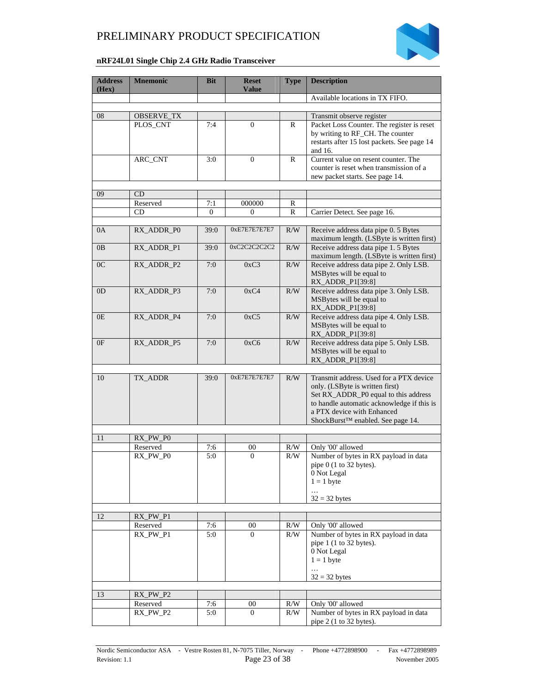

#### **nRF24L01 Single Chip 2.4 GHz Radio Transceiver**

| <b>Address</b><br>(Hex) | <b>Mnemonic</b>        | <b>Bit</b>     | <b>Reset</b><br><b>Value</b> | <b>Type</b> | <b>Description</b>                                                                 |
|-------------------------|------------------------|----------------|------------------------------|-------------|------------------------------------------------------------------------------------|
|                         |                        |                |                              |             | Available locations in TX FIFO.                                                    |
|                         |                        |                |                              |             |                                                                                    |
| 08                      | OBSERVE_TX<br>PLOS_CNT | 7:4            | $\mathbf{0}$                 | R           | Transmit observe register<br>Packet Loss Counter. The register is reset            |
|                         |                        |                |                              |             | by writing to RF_CH. The counter                                                   |
|                         |                        |                |                              |             | restarts after 15 lost packets. See page 14                                        |
|                         |                        |                |                              |             | and 16.                                                                            |
|                         | ARC_CNT                | 3:0            | $\boldsymbol{0}$             | R           | Current value on resent counter. The                                               |
|                         |                        |                |                              |             | counter is reset when transmission of a                                            |
|                         |                        |                |                              |             | new packet starts. See page 14.                                                    |
| 09                      | CD                     |                |                              |             |                                                                                    |
|                         | Reserved               | 7:1            | 000000                       | R           |                                                                                    |
|                         | CD                     | $\overline{0}$ | 0                            | R           | Carrier Detect. See page 16.                                                       |
|                         |                        |                |                              |             |                                                                                    |
| 0A                      | RX_ADDR_PO             | 39:0           | 0xE7E7E7E7E7                 | R/W         | Receive address data pipe 0. 5 Bytes<br>maximum length. (LSByte is written first)  |
| 0B                      | RX_ADDR_P1             | 39:0           | 0xC2C2C2C2C2                 | R/W         | Receive address data pipe 1.5 Bytes                                                |
|                         |                        |                |                              |             | maximum length. (LSByte is written first)                                          |
| 0 <sup>C</sup>          | RX_ADDR_P2             | 7:0            | 0xC3                         | R/W         | Receive address data pipe 2. Only LSB.                                             |
|                         |                        |                |                              |             | MSBytes will be equal to                                                           |
|                         |                        |                |                              |             | RX_ADDR_P1[39:8]                                                                   |
| 0 <sub>D</sub>          | RX_ADDR_P3             | 7:0            | 0xC4                         | R/W         | Receive address data pipe 3. Only LSB.<br>MSBytes will be equal to                 |
|                         |                        |                |                              |             | RX_ADDR_P1[39:8]                                                                   |
| 0E                      | RX_ADDR_P4             | 7:0            | 0xC5                         | R/W         | Receive address data pipe 4. Only LSB.                                             |
|                         |                        |                |                              |             | MSBytes will be equal to                                                           |
|                         |                        |                |                              |             | RX_ADDR_P1[39:8]                                                                   |
| 0F                      | RX_ADDR_P5             | 7:0            | 0xC6                         | R/W         | Receive address data pipe 5. Only LSB.<br>MSBytes will be equal to                 |
|                         |                        |                |                              |             | RX_ADDR_P1[39:8]                                                                   |
|                         |                        |                |                              |             |                                                                                    |
| 10                      | TX_ADDR                | 39:0           | 0xE7E7E7E7E7                 | R/W         | Transmit address. Used for a PTX device                                            |
|                         |                        |                |                              |             | only. (LSByte is written first)                                                    |
|                         |                        |                |                              |             | Set RX_ADDR_P0 equal to this address<br>to handle automatic acknowledge if this is |
|                         |                        |                |                              |             | a PTX device with Enhanced                                                         |
|                         |                        |                |                              |             | ShockBurst™ enabled. See page 14.                                                  |
|                         |                        |                |                              |             |                                                                                    |
| 11                      | RX_PW_P0               |                |                              |             |                                                                                    |
|                         | Reserved<br>RX_PW_P0   | 7:6<br>5:0     | 00<br>$\mathbf{0}$           | R/W<br>R/W  | Only '00' allowed<br>Number of bytes in RX payload in data                         |
|                         |                        |                |                              |             | pipe $0$ (1 to 32 bytes).                                                          |
|                         |                        |                |                              |             | 0 Not Legal                                                                        |
|                         |                        |                |                              |             | $1 = 1$ byte                                                                       |
|                         |                        |                |                              |             | $\ldots$                                                                           |
|                         |                        |                |                              |             | $32 = 32$ bytes                                                                    |
| 12                      | $RX_PW_P1$             |                |                              |             |                                                                                    |
|                         | Reserved               | 7:6            | 00                           | R/W         | Only '00' allowed                                                                  |
|                         | RX_PW_P1               | 5:0            | $\Omega$                     | R/W         | Number of bytes in RX payload in data                                              |
|                         |                        |                |                              |             | pipe $1$ (1 to 32 bytes).                                                          |
|                         |                        |                |                              |             | 0 Not Legal<br>$1 = 1$ byte                                                        |
|                         |                        |                |                              |             | $\ldots$                                                                           |
|                         |                        |                |                              |             | $32 = 32$ bytes                                                                    |
|                         |                        |                |                              |             |                                                                                    |
| 13                      | RX_PW_P2               |                |                              |             |                                                                                    |
|                         | Reserved<br>RX_PW_P2   | 7:6<br>5:0     | 00<br>$\Omega$               | R/W<br>R/W  | Only '00' allowed<br>Number of bytes in RX payload in data                         |
|                         |                        |                |                              |             | pipe $2(1 \text{ to } 32 \text{ bytes})$ .                                         |
|                         |                        |                |                              |             |                                                                                    |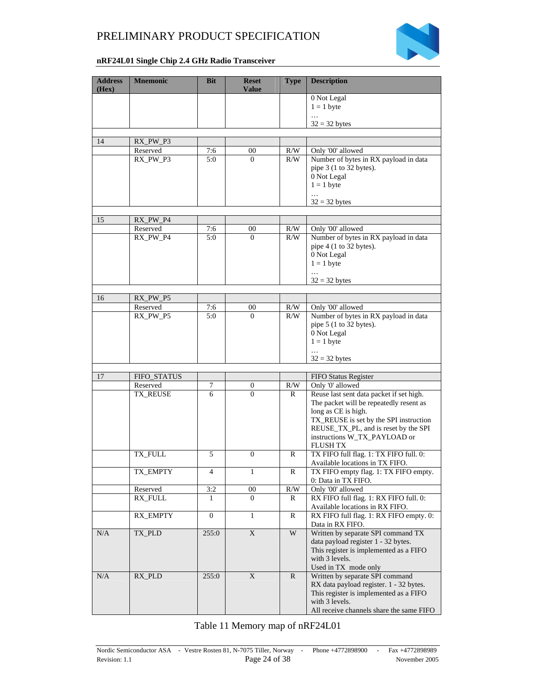

#### **nRF24L01 Single Chip 2.4 GHz Radio Transceiver**

| <b>Address</b><br>(Hex) | <b>Mnemonic</b>      | <b>Bit</b>       | <b>Reset</b><br><b>Value</b> | <b>Type</b>      | <b>Description</b>                                                        |
|-------------------------|----------------------|------------------|------------------------------|------------------|---------------------------------------------------------------------------|
|                         |                      |                  |                              |                  | 0 Not Legal<br>$1 = 1$ byte                                               |
|                         |                      |                  |                              |                  | .                                                                         |
|                         |                      |                  |                              |                  | $32 = 32$ bytes                                                           |
|                         |                      |                  |                              |                  |                                                                           |
| 14                      | RX_PW_P3             |                  |                              |                  |                                                                           |
|                         | Reserved<br>RX_PW_P3 | 7:6<br>5:0       | 00<br>$\Omega$               | R/W<br>R/W       | Only '00' allowed                                                         |
|                         |                      |                  |                              |                  | Number of bytes in RX payload in data<br>pipe $3(1 to 32 bytes)$ .        |
|                         |                      |                  |                              |                  | 0 Not Legal                                                               |
|                         |                      |                  |                              |                  | $1 = 1$ byte                                                              |
|                         |                      |                  |                              |                  |                                                                           |
|                         |                      |                  |                              |                  | $32 = 32$ bytes                                                           |
|                         |                      |                  |                              |                  |                                                                           |
| 15                      | RX_PW_P4             |                  |                              |                  |                                                                           |
|                         | Reserved<br>RX_PW_P4 | 7:6<br>5:0       | 00<br>$\Omega$               | $\rm R/W$<br>R/W | Only '00' allowed<br>Number of bytes in RX payload in data                |
|                         |                      |                  |                              |                  | pipe 4 (1 to 32 bytes).                                                   |
|                         |                      |                  |                              |                  | 0 Not Legal                                                               |
|                         |                      |                  |                              |                  | $1 = 1$ byte                                                              |
|                         |                      |                  |                              |                  |                                                                           |
|                         |                      |                  |                              |                  | $32 = 32$ bytes                                                           |
|                         |                      |                  |                              |                  |                                                                           |
| 16                      | RX_PW_P5<br>Reserved | 7:6              | 00                           | R/W              | Only '00' allowed                                                         |
|                         | RX_PW_P5             | 5:0              | $\Omega$                     | R/W              | Number of bytes in RX payload in data                                     |
|                         |                      |                  |                              |                  | pipe 5 (1 to 32 bytes).                                                   |
|                         |                      |                  |                              |                  | 0 Not Legal                                                               |
|                         |                      |                  |                              |                  | $1 = 1$ byte                                                              |
|                         |                      |                  |                              |                  |                                                                           |
|                         |                      |                  |                              |                  | $32 = 32$ bytes                                                           |
| 17                      | FIFO_STATUS          |                  |                              |                  | FIFO Status Register                                                      |
|                         | Reserved             | 7                | 0                            | R/W              | Only '0' allowed                                                          |
|                         | TX_REUSE             | 6                | $\Omega$                     | R                | Reuse last sent data packet if set high.                                  |
|                         |                      |                  |                              |                  | The packet will be repeatedly resent as                                   |
|                         |                      |                  |                              |                  | long as CE is high.                                                       |
|                         |                      |                  |                              |                  | TX_REUSE is set by the SPI instruction                                    |
|                         |                      |                  |                              |                  | REUSE_TX_PL, and is reset by the SPI<br>instructions W_TX_PAYLOAD or      |
|                         |                      |                  |                              |                  | <b>FLUSH TX</b>                                                           |
|                         | TX_FULL              | 5                | $\boldsymbol{0}$             | R                | TX FIFO full flag. 1: TX FIFO full. 0:                                    |
|                         |                      |                  |                              |                  | Available locations in TX FIFO.                                           |
|                         | TX EMPTY             | 4                | 1                            | R                | TX FIFO empty flag. 1: TX FIFO empty.                                     |
|                         |                      |                  |                              |                  | 0: Data in TX FIFO.                                                       |
|                         | Reserved             | 3:2              | 00                           | R/W              | Only '00' allowed                                                         |
|                         | RX_FULL              | 1                | $\mathbf{0}$                 | R                | RX FIFO full flag. 1: RX FIFO full. 0:<br>Available locations in RX FIFO. |
|                         | RX_EMPTY             | $\boldsymbol{0}$ | 1                            | R                | RX FIFO full flag. 1: RX FIFO empty. 0:                                   |
|                         |                      |                  |                              |                  | Data in RX FIFO.                                                          |
| $\rm N/A$               | TX_PLD               | 255:0            | X                            | W                | Written by separate SPI command TX                                        |
|                         |                      |                  |                              |                  | data payload register 1 - 32 bytes.                                       |
|                         |                      |                  |                              |                  | This register is implemented as a FIFO                                    |
|                         |                      |                  |                              |                  | with 3 levels.<br>Used in TX mode only                                    |
| N/A                     | RX_PLD               | 255:0            | X                            | $\mathbb{R}$     | Written by separate SPI command                                           |
|                         |                      |                  |                              |                  | RX data payload register. 1 - 32 bytes.                                   |
|                         |                      |                  |                              |                  | This register is implemented as a FIFO                                    |
|                         |                      |                  |                              |                  | with 3 levels.                                                            |
|                         |                      |                  |                              |                  | All receive channels share the same FIFO                                  |

Table 11 Memory map of nRF24L01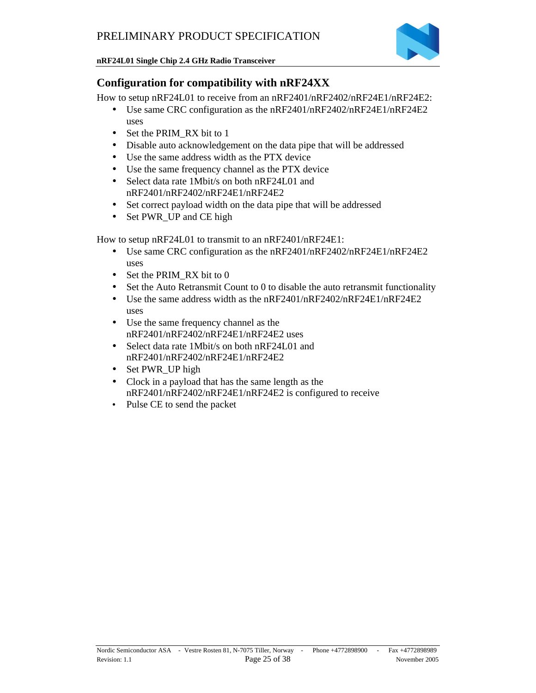

### **Configuration for compatibility with nRF24XX**

How to setup nRF24L01 to receive from an nRF2401/nRF2402/nRF24E1/nRF24E2:

- Use same CRC configuration as the nRF2401/nRF2402/nRF24E1/nRF24E2 uses
- Set the PRIM RX bit to 1
- Disable auto acknowledgement on the data pipe that will be addressed
- Use the same address width as the PTX device
- Use the same frequency channel as the PTX device
- Select data rate 1Mbit/s on both nRF24L01 and nRF2401/nRF2402/nRF24E1/nRF24E2
- Set correct payload width on the data pipe that will be addressed
- Set PWR\_UP and CE high

How to setup nRF24L01 to transmit to an nRF2401/nRF24E1:

- Use same CRC configuration as the nRF2401/nRF2402/nRF24E1/nRF24E2 uses
- Set the PRIM\_RX bit to 0
- Set the Auto Retransmit Count to 0 to disable the auto retransmit functionality
- Use the same address width as the nRF2401/nRF2402/nRF24E1/nRF24E2 uses
- Use the same frequency channel as the nRF2401/nRF2402/nRF24E1/nRF24E2 uses
- Select data rate 1Mbit/s on both nRF24L01 and nRF2401/nRF2402/nRF24E1/nRF24E2
- Set PWR\_UP high
- Clock in a payload that has the same length as the nRF2401/nRF2402/nRF24E1/nRF24E2 is configured to receive
- Pulse CE to send the packet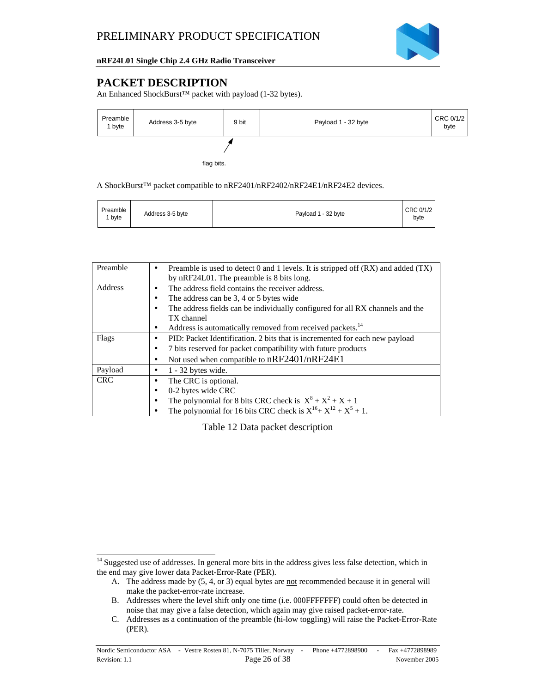

# **PACKET DESCRIPTION**

 $\overline{a}$ 

An Enhanced ShockBurst™ packet with payload (1-32 bytes).



A ShockBurst™ packet compatible to nRF2401/nRF2402/nRF24E1/nRF24E2 devices.

| Preamble<br>' bvte | Address 3-5 byte | Payload 1 - 32 byte | CRC 0/1/2<br>byte |
|--------------------|------------------|---------------------|-------------------|
|--------------------|------------------|---------------------|-------------------|

| Preamble   | Preamble is used to detect 0 and 1 levels. It is stripped off $(RX)$ and added $(TX)$<br>٠ |
|------------|--------------------------------------------------------------------------------------------|
|            | by nRF24L01. The preamble is 8 bits long.                                                  |
|            |                                                                                            |
| Address    | The address field contains the receiver address.                                           |
|            | The address can be 3, 4 or 5 bytes wide<br>٠                                               |
|            | The address fields can be individually configured for all RX channels and the<br>٠         |
|            | TX channel                                                                                 |
|            | Address is automatically removed from received packets. <sup>14</sup><br>$\bullet$         |
| Flags      | PID: Packet Identification. 2 bits that is incremented for each new payload<br>٠           |
|            | 7 bits reserved for packet compatibility with future products<br>٠                         |
|            | Not used when compatible to nRF2401/nRF24E1<br>٠                                           |
| Payload    | $1 - 32$ bytes wide.<br>٠                                                                  |
| <b>CRC</b> | The CRC is optional.<br>٠                                                                  |
|            | 0-2 bytes wide CRC<br>٠                                                                    |
|            | The polynomial for 8 bits CRC check is $X^8 + X^2 + X + 1$<br>٠                            |
|            | The polynomial for 16 bits CRC check is $X^{16} + X^{12} + X^5 + 1$ .                      |

Table 12 Data packet description

<sup>&</sup>lt;sup>14</sup> Suggested use of addresses. In general more bits in the address gives less false detection, which in the end may give lower data Packet-Error-Rate (PER).

A. The address made by (5, 4, or 3) equal bytes are not recommended because it in general will make the packet-error-rate increase.

B. Addresses where the level shift only one time (i.e. 000FFFFFFF) could often be detected in noise that may give a false detection, which again may give raised packet-error-rate.

C. Addresses as a continuation of the preamble (hi-low toggling) will raise the Packet-Error-Rate (PER).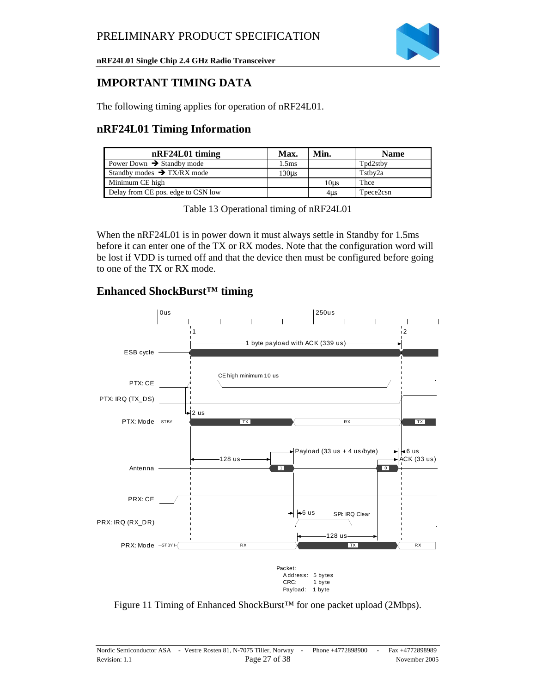

### **IMPORTANT TIMING DATA**

The following timing applies for operation of nRF24L01.

### **nRF24L01 Timing Information**

| nRF24L01 timing                        | Max.  | Min.             | <b>Name</b>           |
|----------------------------------------|-------|------------------|-----------------------|
| Power Down $\rightarrow$ Standby mode  | 1.5ms |                  | Tpd2stby              |
| Standby modes $\rightarrow$ TX/RX mode | 130us |                  | Tstby2a               |
| Minimum CE high                        |       | 10 <sub>us</sub> | Thce                  |
| Delay from CE pos. edge to CSN low     |       | 4us              | T <sub>pece2csn</sub> |

When the nRF24L01 is in power down it must always settle in Standby for 1.5ms before it can enter one of the TX or RX modes. Note that the configuration word will be lost if VDD is turned off and that the device then must be configured before going to one of the TX or RX mode.

### **Enhanced ShockBurst™ timing**



Figure 11 Timing of Enhanced ShockBurst™ for one packet upload (2Mbps).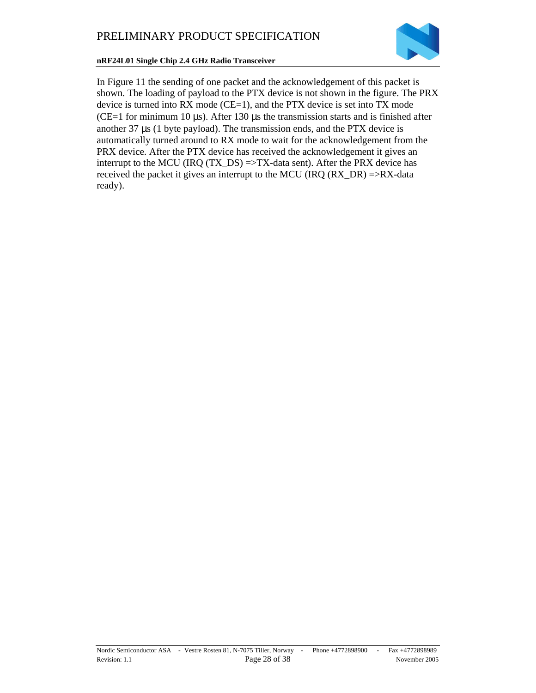

In Figure 11 the sending of one packet and the acknowledgement of this packet is shown. The loading of payload to the PTX device is not shown in the figure. The PRX device is turned into  $RX$  mode ( $CE=1$ ), and the  $PTX$  device is set into  $TX$  mode (CE=1 for minimum 10  $\mu$ s). After 130  $\mu$ s the transmission starts and is finished after another 37 µs (1 byte payload). The transmission ends, and the PTX device is automatically turned around to RX mode to wait for the acknowledgement from the PRX device. After the PTX device has received the acknowledgement it gives an interrupt to the MCU (IRQ  $(TX_DS)$  =>TX-data sent). After the PRX device has received the packet it gives an interrupt to the MCU (IRQ  $(RX\_DR)$ ) =>RX-data ready).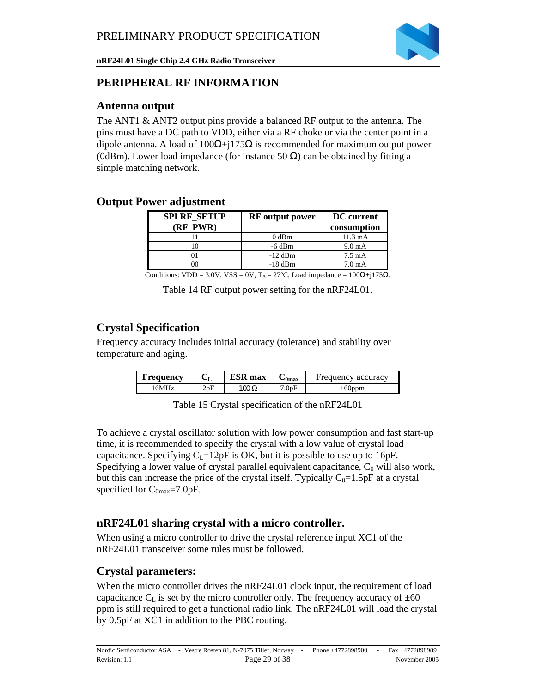

### **PERIPHERAL RF INFORMATION**

### **Antenna output**

The ANT1 & ANT2 output pins provide a balanced RF output to the antenna. The pins must have a DC path to VDD, either via a RF choke or via the center point in a dipole antenna. A load of  $100\Omega + j175\Omega$  is recommended for maximum output power (0dBm). Lower load impedance (for instance 50  $\Omega$ ) can be obtained by fitting a simple matching network.

### **Output Power adjustment**

| <b>SPI RF SETUP</b><br>(RF PWR) | <b>RF</b> output power | <b>DC</b> current<br>consumption |
|---------------------------------|------------------------|----------------------------------|
|                                 | $0$ dBm                | $11.3 \text{ mA}$                |
| 10                              | $-6$ dBm               | $9.0 \text{ mA}$                 |
|                                 | $-12$ dBm              | $7.5 \text{ mA}$                 |
|                                 | $-18$ dBm              | 7.0 <sub>m</sub> A               |

Conditions: VDD = 3.0V, VSS = 0V, T<sub>A</sub> = 27°C, Load impedance =  $100\Omega + j175\Omega$ .

Table 14 RF output power setting for the nRF24L01.

# **Crystal Specification**

Frequency accuracy includes initial accuracy (tolerance) and stability over temperature and aging.

| Frequency | UI.  | <b>ESR</b> max | $-0$ max | Frequency accuracy |
|-----------|------|----------------|----------|--------------------|
| 16MHz.    | 12pF | $100$ $\Omega$ | 7.0pF    | $\pm 60$ ppm       |

Table 15 Crystal specification of the nRF24L01

To achieve a crystal oscillator solution with low power consumption and fast start-up time, it is recommended to specify the crystal with a low value of crystal load capacitance. Specifying  $C_{\text{L}}=12pF$  is OK, but it is possible to use up to 16pF. Specifying a lower value of crystal parallel equivalent capacitance,  $C_0$  will also work, but this can increase the price of the crystal itself. Typically  $C_0=1.5pF$  at a crystal specified for  $C_{0max}$ =7.0pF.

### **nRF24L01 sharing crystal with a micro controller.**

When using a micro controller to drive the crystal reference input XC1 of the nRF24L01 transceiver some rules must be followed.

### **Crystal parameters:**

When the micro controller drives the nRF24L01 clock input, the requirement of load capacitance  $C_{\text{L}}$  is set by the micro controller only. The frequency accuracy of  $\pm 60$ ppm is still required to get a functional radio link. The nRF24L01 will load the crystal by 0.5pF at XC1 in addition to the PBC routing.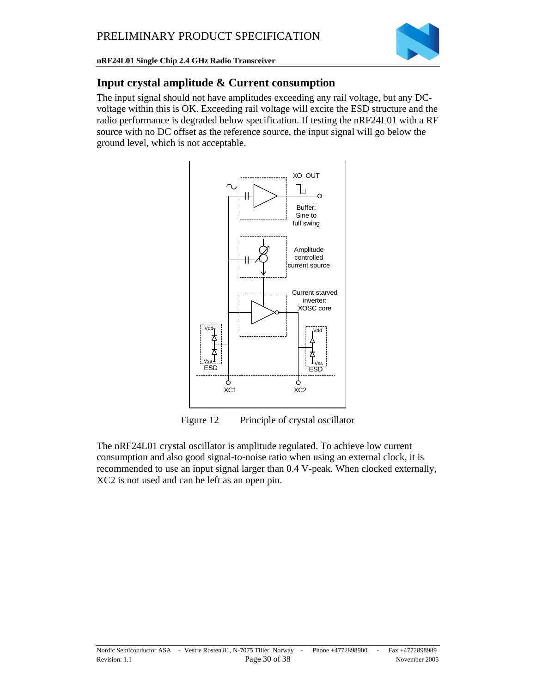

### **Input crystal amplitude & Current consumption**

The input signal should not have amplitudes exceeding any rail voltage, but any DCvoltage within this is OK. Exceeding rail voltage will excite the ESD structure and the radio performance is degraded below specification. If testing the nRF24L01 with a RF source with no DC offset as the reference source, the input signal will go below the ground level, which is not acceptable.



Figure 12 Principle of crystal oscillator

The nRF24L01 crystal oscillator is amplitude regulated. To achieve low current consumption and also good signal-to-noise ratio when using an external clock, it is recommended to use an input signal larger than 0.4 V-peak. When clocked externally, XC2 is not used and can be left as an open pin.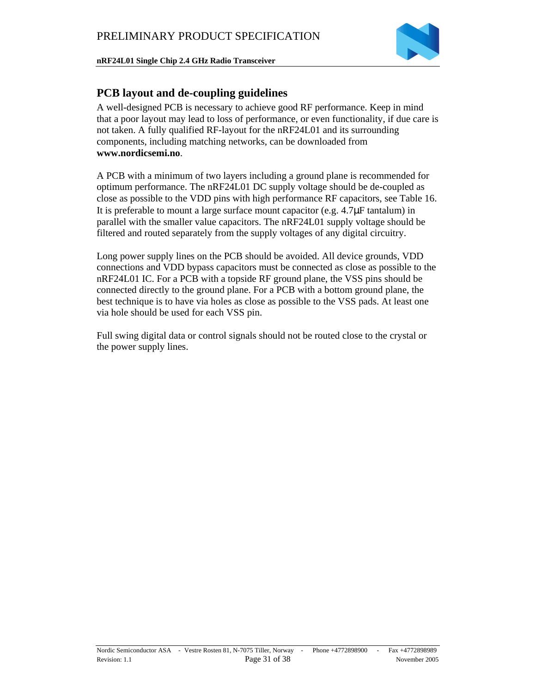

### **PCB layout and de-coupling guidelines**

A well-designed PCB is necessary to achieve good RF performance. Keep in mind that a poor layout may lead to loss of performance, or even functionality, if due care is not taken. A fully qualified RF-layout for the nRF24L01 and its surrounding components, including matching networks, can be downloaded from **www.nordicsemi.no**.

A PCB with a minimum of two layers including a ground plane is recommended for optimum performance. The nRF24L01 DC supply voltage should be de-coupled as close as possible to the VDD pins with high performance RF capacitors, see Table 16. It is preferable to mount a large surface mount capacitor (e.g. 4.7µF tantalum) in parallel with the smaller value capacitors. The nRF24L01 supply voltage should be filtered and routed separately from the supply voltages of any digital circuitry.

Long power supply lines on the PCB should be avoided. All device grounds, VDD connections and VDD bypass capacitors must be connected as close as possible to the nRF24L01 IC. For a PCB with a topside RF ground plane, the VSS pins should be connected directly to the ground plane. For a PCB with a bottom ground plane, the best technique is to have via holes as close as possible to the VSS pads. At least one via hole should be used for each VSS pin.

Full swing digital data or control signals should not be routed close to the crystal or the power supply lines.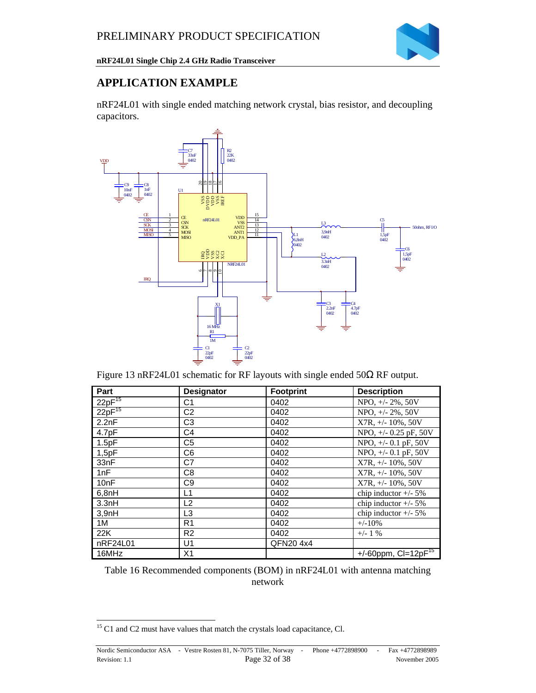

### **APPLICATION EXAMPLE**

nRF24L01 with single ended matching network crystal, bias resistor, and decoupling capacitors.



Figure 13 nRF24L01 schematic for RF layouts with single ended 50Ω RF output.

| Part        | <b>Designator</b> | <b>Footprint</b> | <b>Description</b>         |
|-------------|-------------------|------------------|----------------------------|
| $22pF^{15}$ | C1                | 0402             | NPO, +/- 2%, 50V           |
| $22pF^{15}$ | C <sub>2</sub>    | 0402             | NPO, +/- 2%, 50V           |
| 2.2nF       | C <sub>3</sub>    | 0402             | $X7R, +/- 10\%, 50V$       |
| 4.7pF       | C <sub>4</sub>    | 0402             | NPO, +/- 0.25 pF, 50V      |
| 1.5pF       | C <sub>5</sub>    | 0402             | NPO, +/- 0.1 pF, 50V       |
| 1,5pF       | C <sub>6</sub>    | 0402             | NPO, $+/$ - 0.1 pF, 50V    |
| 33nF        | C7                | 0402             | $X7R, +/- 10\%$ , 50V      |
| 1nF         | C <sub>8</sub>    | 0402             | $X7R, +/- 10\%$ , 50V      |
| 10nF        | C <sub>9</sub>    | 0402             | $X7R, +/- 10\%$ , 50V      |
| 6,8nH       | L1                | 0402             | chip inductor $+/- 5\%$    |
| 3.3nH       | L2                | 0402             | chip inductor $+/- 5\%$    |
| 3,9nH       | L3                | 0402             | chip inductor $+/- 5\%$    |
| 1M          | R1                | 0402             | $+/-10%$                   |
| 22K         | R <sub>2</sub>    | 0402             | $+/- 1$ %                  |
| nRF24L01    | U <sub>1</sub>    | QFN20 4x4        |                            |
| 16MHz       | X1                |                  | +/-60ppm, $Cl = 12pF^{15}$ |

Table 16 Recommended components (BOM) in nRF24L01 with antenna matching network

l  $15$  C1 and C2 must have values that match the crystals load capacitance, Cl.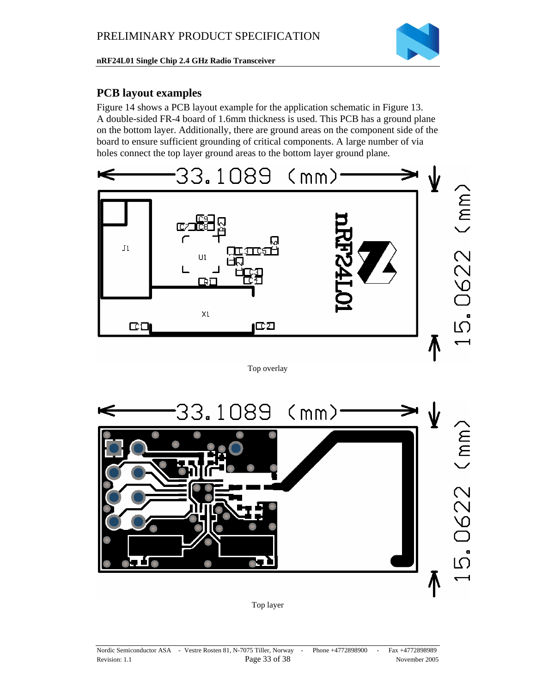

### **PCB layout examples**

Figure 14 shows a PCB layout example for the application schematic in Figure 13. A double-sided FR-4 board of 1.6mm thickness is used. This PCB has a ground plane on the bottom layer. Additionally, there are ground areas on the component side of the board to ensure sufficient grounding of critical components. A large number of via holes connect the top layer ground areas to the bottom layer ground plane.



Top overlay



Top layer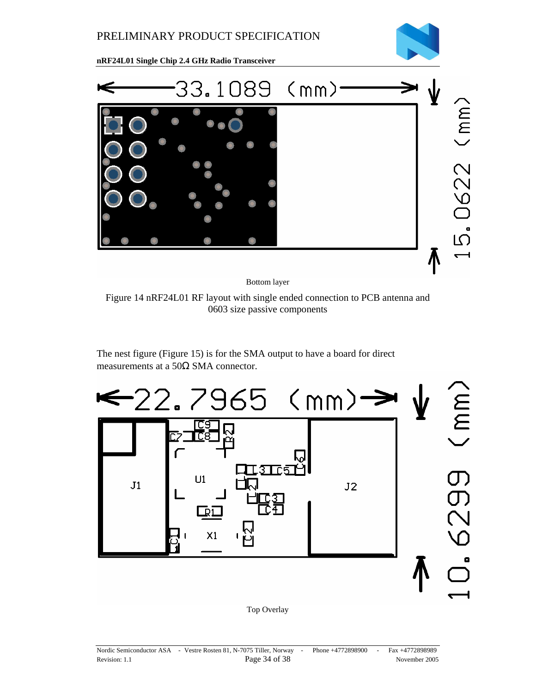

Bottom layer

Figure 14 nRF24L01 RF layout with single ended connection to PCB antenna and 0603 size passive components

The nest figure (Figure 15) is for the SMA output to have a board for direct measurements at a 50Ω SMA connector.



Top Overlay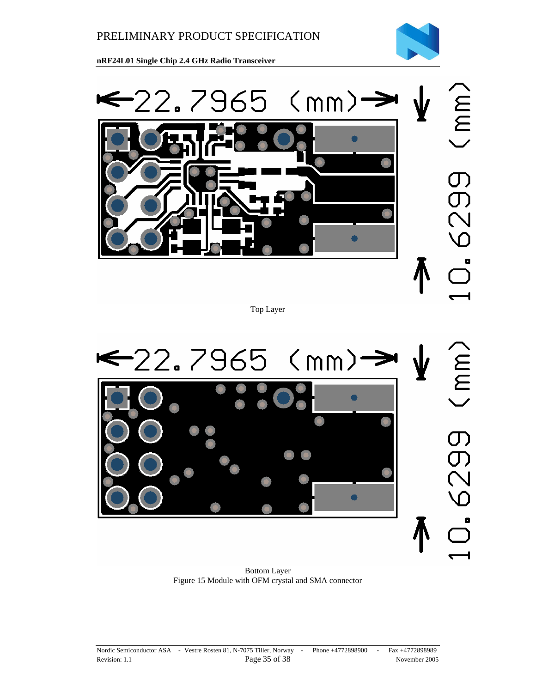



Top Layer

C<br>M<br>M<br>M  $-22.7965$  (mm)-5025 n

Bottom Layer Figure 15 Module with OFM crystal and SMA connector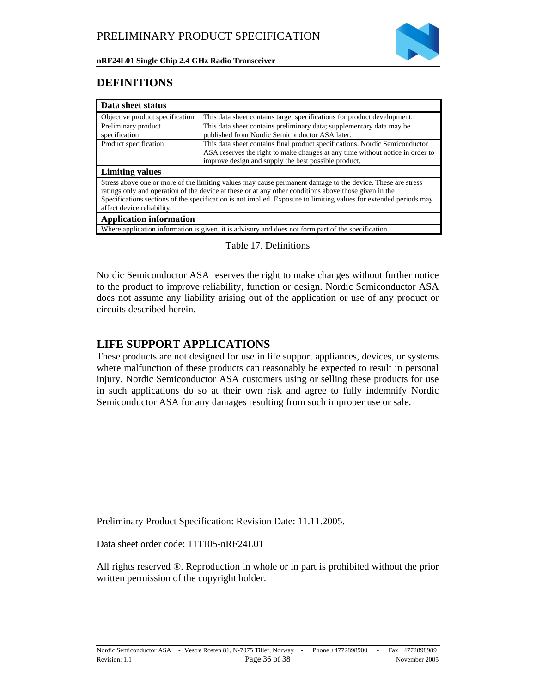

### **DEFINITIONS**

| Data sheet status                    |                                                                                                                                                                                                                                                                                                                                          |
|--------------------------------------|------------------------------------------------------------------------------------------------------------------------------------------------------------------------------------------------------------------------------------------------------------------------------------------------------------------------------------------|
| Objective product specification      | This data sheet contains target specifications for product development.                                                                                                                                                                                                                                                                  |
| Preliminary product<br>specification | This data sheet contains preliminary data; supplementary data may be<br>published from Nordic Semiconductor ASA later.                                                                                                                                                                                                                   |
| Product specification                | This data sheet contains final product specifications. Nordic Semiconductor<br>ASA reserves the right to make changes at any time without notice in order to<br>improve design and supply the best possible product.                                                                                                                     |
| <b>Limiting values</b>               |                                                                                                                                                                                                                                                                                                                                          |
|                                      | Stress above one or more of the limiting values may cause permanent damage to the device. These are stress<br>ratings only and operation of the device at these or at any other conditions above those given in the<br>Specifications sections of the specification is not implied. Exposure to limiting values for extended periods may |
| affect device reliability.           |                                                                                                                                                                                                                                                                                                                                          |
| <b>Application information</b>       |                                                                                                                                                                                                                                                                                                                                          |

Table 17. Definitions

Nordic Semiconductor ASA reserves the right to make changes without further notice to the product to improve reliability, function or design. Nordic Semiconductor ASA does not assume any liability arising out of the application or use of any product or circuits described herein.

### **LIFE SUPPORT APPLICATIONS**

These products are not designed for use in life support appliances, devices, or systems where malfunction of these products can reasonably be expected to result in personal injury. Nordic Semiconductor ASA customers using or selling these products for use in such applications do so at their own risk and agree to fully indemnify Nordic Semiconductor ASA for any damages resulting from such improper use or sale.

Preliminary Product Specification: Revision Date: 11.11.2005.

Data sheet order code: 111105-nRF24L01

All rights reserved ®. Reproduction in whole or in part is prohibited without the prior written permission of the copyright holder.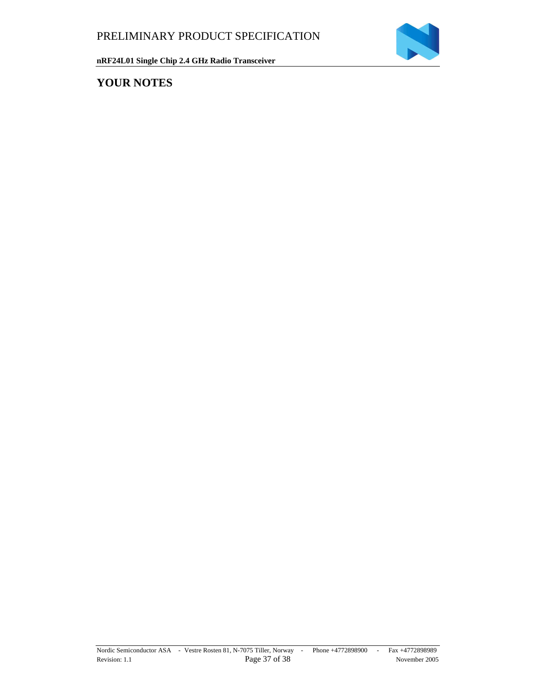

# **YOUR NOTES**